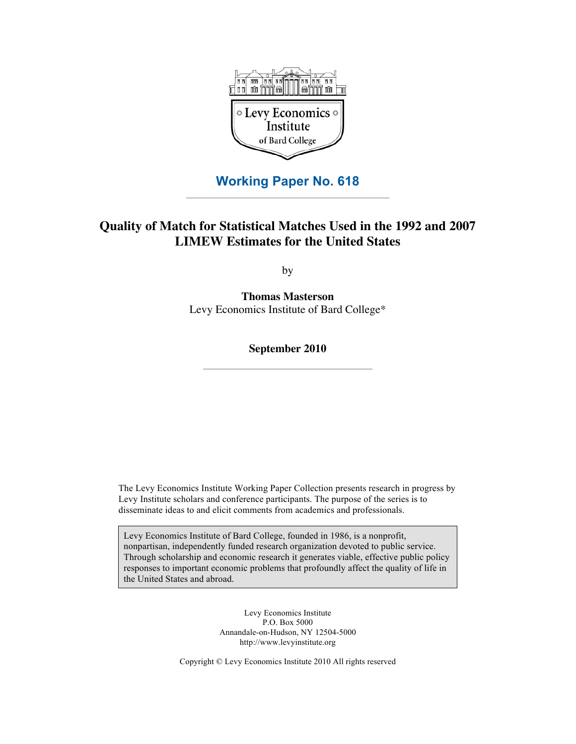

## **Working Paper No. 618**

## **Quality of Match for Statistical Matches Used in the 1992 and 2007 LIMEW Estimates for the United States**

by

**Thomas Masterson** Levy Economics Institute of Bard College\*

**September 2010**

The Levy Economics Institute Working Paper Collection presents research in progress by Levy Institute scholars and conference participants. The purpose of the series is to disseminate ideas to and elicit comments from academics and professionals.

Levy Economics Institute of Bard College, founded in 1986, is a nonprofit, nonpartisan, independently funded research organization devoted to public service. Through scholarship and economic research it generates viable, effective public policy responses to important economic problems that profoundly affect the quality of life in the United States and abroad.

> Levy Economics Institute P.O. Box 5000 Annandale-on-Hudson, NY 12504-5000 http://www.levyinstitute.org

Copyright © Levy Economics Institute 2010 All rights reserved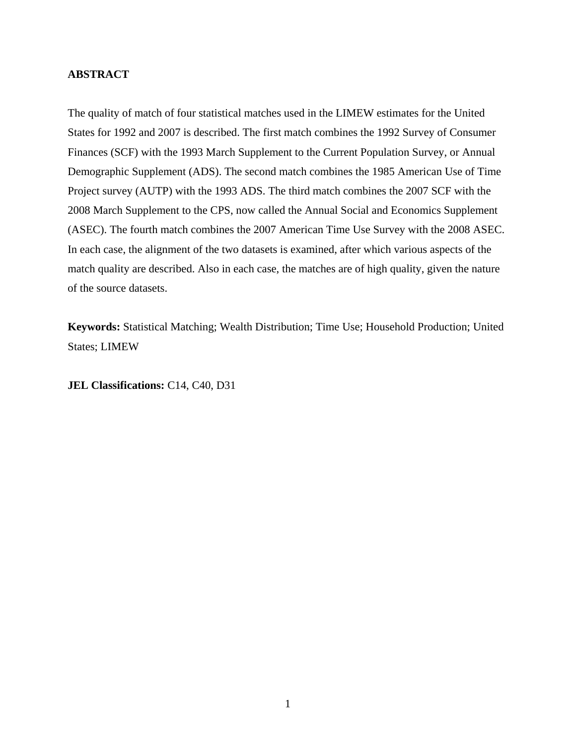## **ABSTRACT**

The quality of match of four statistical matches used in the LIMEW estimates for the United States for 1992 and 2007 is described. The first match combines the 1992 Survey of Consumer Finances (SCF) with the 1993 March Supplement to the Current Population Survey, or Annual Demographic Supplement (ADS). The second match combines the 1985 American Use of Time Project survey (AUTP) with the 1993 ADS. The third match combines the 2007 SCF with the 2008 March Supplement to the CPS, now called the Annual Social and Economics Supplement (ASEC). The fourth match combines the 2007 American Time Use Survey with the 2008 ASEC. In each case, the alignment of the two datasets is examined, after which various aspects of the match quality are described. Also in each case, the matches are of high quality, given the nature of the source datasets.

**Keywords:** Statistical Matching; Wealth Distribution; Time Use; Household Production; United States; LIMEW

**JEL Classifications:** C14, C40, D31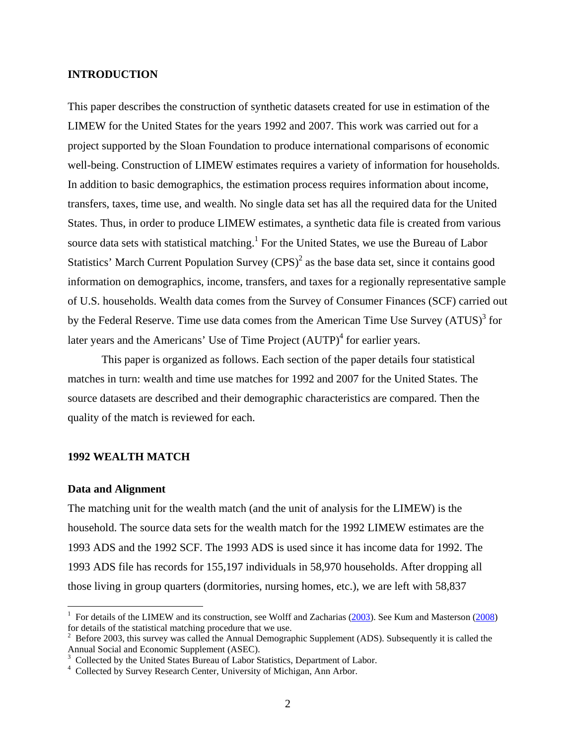## **INTRODUCTION**

This paper describes the construction of synthetic datasets created for use in estimation of the LIMEW for the United States for the years 1992 and 2007. This work was carried out for a project supported by the Sloan Foundation to produce international comparisons of economic well-being. Construction of LIMEW estimates requires a variety of information for households. In addition to basic demographics, the estimation process requires information about income, transfers, taxes, time use, and wealth. No single data set has all the required data for the United States. Thus, in order to produce LIMEW estimates, a synthetic data file is created from various source data sets with statistical matching. $<sup>1</sup>$  For the United States, we use the Bureau of Labor</sup> Statistics' March Current Population Survey  $(CPS)^2$  as the base data set, since it contains good information on demographics, income, transfers, and taxes for a regionally representative sample of U.S. households. Wealth data comes from the Survey of Consumer Finances (SCF) carried out by the Federal Reserve. Time use data comes from the American Time Use Survey  $(ATUS)^3$  for later years and the Americans' Use of Time Project  $(AUTP)^4$  for earlier years.

This paper is organized as follows. Each section of the paper details four statistical matches in turn: wealth and time use matches for 1992 and 2007 for the United States. The source datasets are described and their demographic characteristics are compared. Then the quality of the match is reviewed for each.

### **1992 WEALTH MATCH**

#### **Data and Alignment**

 $\overline{a}$ 

The matching unit for the wealth match (and the unit of analysis for the LIMEW) is the household. The source data sets for the wealth match for the 1992 LIMEW estimates are the 1993 ADS and the 1992 SCF. The 1993 ADS is used since it has income data for 1992. The 1993 ADS file has records for 155,197 individuals in 58,970 households. After dropping all those living in group quarters (dormitories, nursing homes, etc.), we are left with 58,837

<sup>&</sup>lt;sup>1</sup> For details of the LIMEW and its construction, see Wolff and Zacharias  $(2003)$ . See Kum and Masterson  $(2008)$  $(2008)$ for details of the statistical matching procedure that we use.

<sup>&</sup>lt;sup>2</sup> Before 2003, this survey was called the Annual Demographic Supplement (ADS). Subsequently it is called the Annual Social and Economic Supplement (ASEC).

<sup>&</sup>lt;sup>3</sup> Collected by the United States Bureau of Labor Statistics, Department of Labor.<br><sup>4</sup> Collected by Survey Bessersh Center, University of Michigan, Ann Arbor.

<sup>&</sup>lt;sup>4</sup> Collected by Survey Research Center, University of Michigan, Ann Arbor.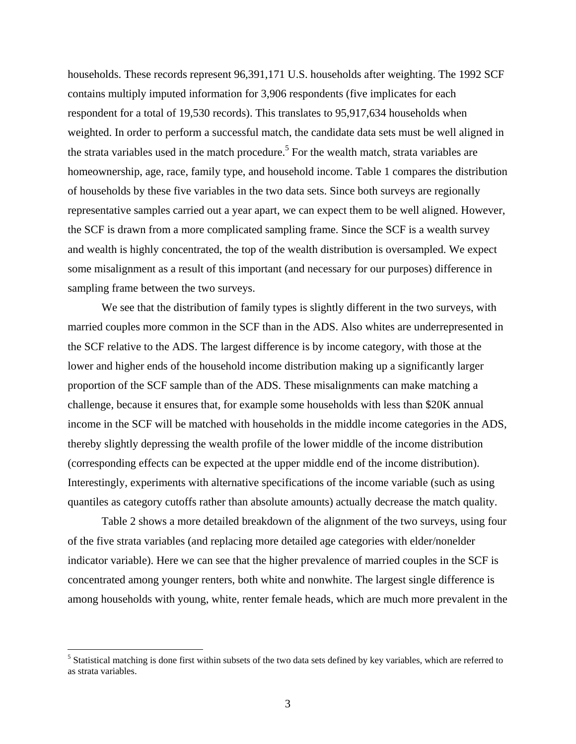households. These records represent 96,391,171 U.S. households after weighting. The 1992 SCF contains multiply imputed information for 3,906 respondents (five implicates for each respondent for a total of 19,530 records). This translates to 95,917,634 households when weighted. In order to perform a successful match, the candidate data sets must be well aligned in the strata variables used in the match procedure.<sup>5</sup> For the wealth match, strata variables are homeownership, age, race, family type, and household income. Table 1 compares the distribution of households by these five variables in the two data sets. Since both surveys are regionally representative samples carried out a year apart, we can expect them to be well aligned. However, the SCF is drawn from a more complicated sampling frame. Since the SCF is a wealth survey and wealth is highly concentrated, the top of the wealth distribution is oversampled. We expect some misalignment as a result of this important (and necessary for our purposes) difference in sampling frame between the two surveys.

We see that the distribution of family types is slightly different in the two surveys, with married couples more common in the SCF than in the ADS. Also whites are underrepresented in the SCF relative to the ADS. The largest difference is by income category, with those at the lower and higher ends of the household income distribution making up a significantly larger proportion of the SCF sample than of the ADS. These misalignments can make matching a challenge, because it ensures that, for example some households with less than \$20K annual income in the SCF will be matched with households in the middle income categories in the ADS, thereby slightly depressing the wealth profile of the lower middle of the income distribution (corresponding effects can be expected at the upper middle end of the income distribution). Interestingly, experiments with alternative specifications of the income variable (such as using quantiles as category cutoffs rather than absolute amounts) actually decrease the match quality.

Table 2 shows a more detailed breakdown of the alignment of the two surveys, using four of the five strata variables (and replacing more detailed age categories with elder/nonelder indicator variable). Here we can see that the higher prevalence of married couples in the SCF is concentrated among younger renters, both white and nonwhite. The largest single difference is among households with young, white, renter female heads, which are much more prevalent in the

 $\overline{a}$ 

<sup>&</sup>lt;sup>5</sup> Statistical matching is done first within subsets of the two data sets defined by key variables, which are referred to as strata variables.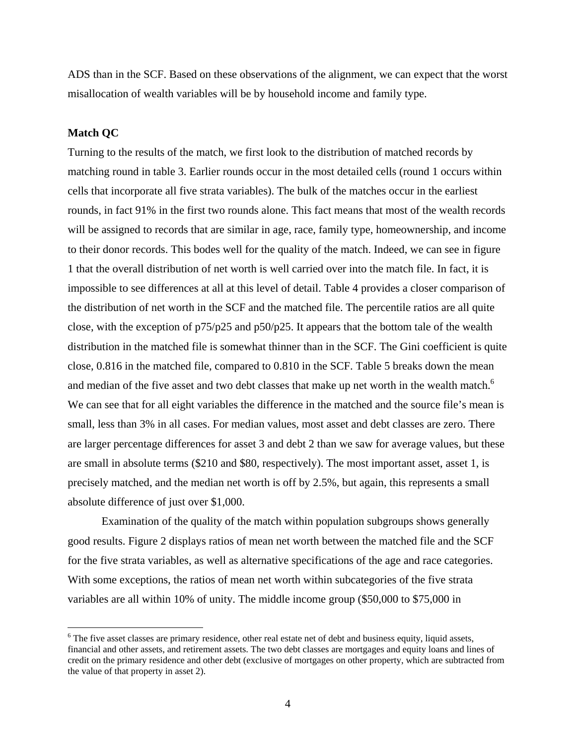ADS than in the SCF. Based on these observations of the alignment, we can expect that the worst misallocation of wealth variables will be by household income and family type.

## **Match QC**

<u>.</u>

Turning to the results of the match, we first look to the distribution of matched records by matching round in table 3. Earlier rounds occur in the most detailed cells (round 1 occurs within cells that incorporate all five strata variables). The bulk of the matches occur in the earliest rounds, in fact 91% in the first two rounds alone. This fact means that most of the wealth records will be assigned to records that are similar in age, race, family type, homeownership, and income to their donor records. This bodes well for the quality of the match. Indeed, we can see in figure 1 that the overall distribution of net worth is well carried over into the match file. In fact, it is impossible to see differences at all at this level of detail. Table 4 provides a closer comparison of the distribution of net worth in the SCF and the matched file. The percentile ratios are all quite close, with the exception of  $p75/p25$  and  $p50/p25$ . It appears that the bottom tale of the wealth distribution in the matched file is somewhat thinner than in the SCF. The Gini coefficient is quite close, 0.816 in the matched file, compared to 0.810 in the SCF. Table 5 breaks down the mean and median of the five asset and two debt classes that make up net worth in the wealth match.<sup>6</sup> We can see that for all eight variables the difference in the matched and the source file's mean is small, less than 3% in all cases. For median values, most asset and debt classes are zero. There are larger percentage differences for asset 3 and debt 2 than we saw for average values, but these are small in absolute terms (\$210 and \$80, respectively). The most important asset, asset 1, is precisely matched, and the median net worth is off by 2.5%, but again, this represents a small absolute difference of just over \$1,000.

Examination of the quality of the match within population subgroups shows generally good results. Figure 2 displays ratios of mean net worth between the matched file and the SCF for the five strata variables, as well as alternative specifications of the age and race categories. With some exceptions, the ratios of mean net worth within subcategories of the five strata variables are all within 10% of unity. The middle income group (\$50,000 to \$75,000 in

 $6$  The five asset classes are primary residence, other real estate net of debt and business equity, liquid assets, financial and other assets, and retirement assets. The two debt classes are mortgages and equity loans and lines of credit on the primary residence and other debt (exclusive of mortgages on other property, which are subtracted from the value of that property in asset 2).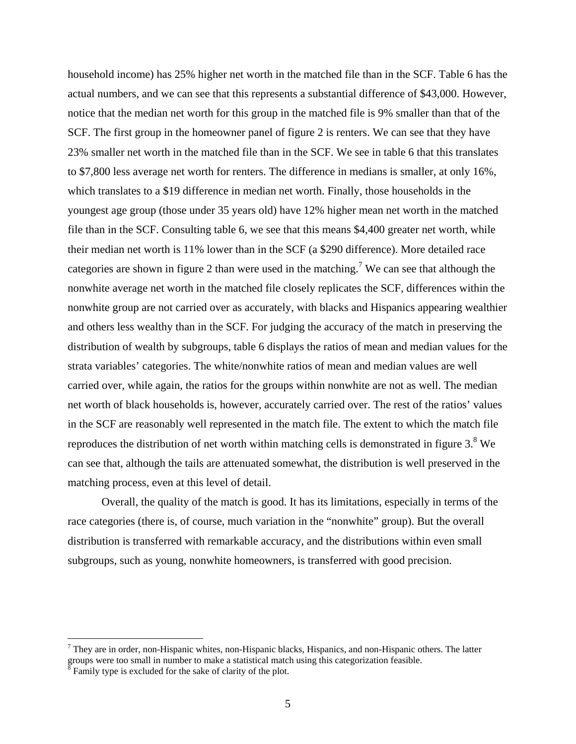household income) has 25% higher net worth in the matched file than in the SCF. Table 6 has the actual numbers, and we can see that this represents a substantial difference of \$43,000. However, notice that the median net worth for this group in the matched file is 9% smaller than that of the SCF. The first group in the homeowner panel of figure 2 is renters. We can see that they have 23% smaller net worth in the matched file than in the SCF. We see in table 6 that this translates to \$7,800 less average net worth for renters. The difference in medians is smaller, at only 16%, which translates to a \$19 difference in median net worth. Finally, those households in the youngest age group (those under 35 years old) have 12% higher mean net worth in the matched file than in the SCF. Consulting table 6, we see that this means \$4,400 greater net worth, while their median net worth is 11% lower than in the SCF (a \$290 difference). More detailed race categories are shown in figure 2 than were used in the matching.<sup>7</sup> We can see that although the nonwhite average net worth in the matched file closely replicates the SCF, differences within the nonwhite group are not carried over as accurately, with blacks and Hispanics appearing wealthier and others less wealthy than in the SCF. For judging the accuracy of the match in preserving the distribution of wealth by subgroups, table 6 displays the ratios of mean and median values for the strata variables' categories. The white/nonwhite ratios of mean and median values are well carried over, while again, the ratios for the groups within nonwhite are not as well. The median net worth of black households is, however, accurately carried over. The rest of the ratios' values in the SCF are reasonably well represented in the match file. The extent to which the match file reproduces the distribution of net worth within matching cells is demonstrated in figure  $3.8$  We can see that, although the tails are attenuated somewhat, the distribution is well preserved in the matching process, even at this level of detail.

Overall, the quality of the match is good. It has its limitations, especially in terms of the race categories (there is, of course, much variation in the "nonwhite" group). But the overall distribution is transferred with remarkable accuracy, and the distributions within even small subgroups, such as young, nonwhite homeowners, is transferred with good precision.

 $<sup>7</sup>$  They are in order, non-Hispanic whites, non-Hispanic blacks, Hispanics, and non-Hispanic others. The latter</sup> groups were too small in number to make a statistical match using this categorization feasible. 8 Family type is excluded for the sake of clarity of the plot.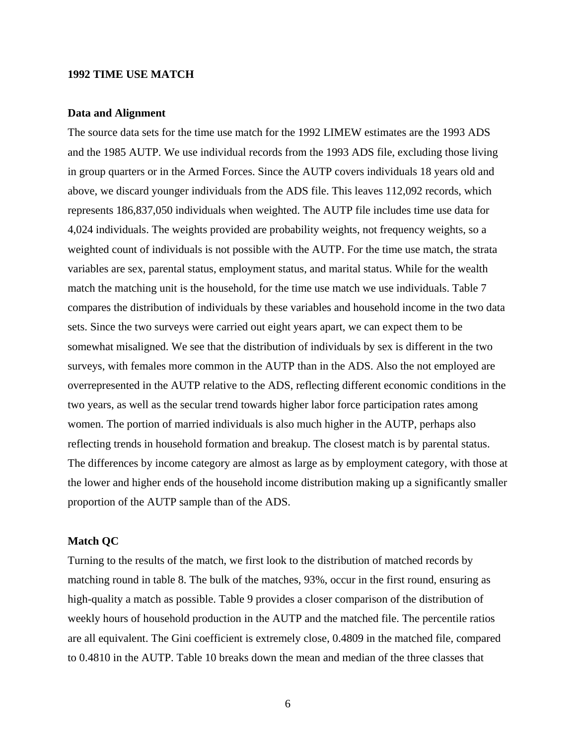## **1992 TIME USE MATCH**

## **Data and Alignment**

The source data sets for the time use match for the 1992 LIMEW estimates are the 1993 ADS and the 1985 AUTP. We use individual records from the 1993 ADS file, excluding those living in group quarters or in the Armed Forces. Since the AUTP covers individuals 18 years old and above, we discard younger individuals from the ADS file. This leaves 112,092 records, which represents 186,837,050 individuals when weighted. The AUTP file includes time use data for 4,024 individuals. The weights provided are probability weights, not frequency weights, so a weighted count of individuals is not possible with the AUTP. For the time use match, the strata variables are sex, parental status, employment status, and marital status. While for the wealth match the matching unit is the household, for the time use match we use individuals. Table 7 compares the distribution of individuals by these variables and household income in the two data sets. Since the two surveys were carried out eight years apart, we can expect them to be somewhat misaligned. We see that the distribution of individuals by sex is different in the two surveys, with females more common in the AUTP than in the ADS. Also the not employed are overrepresented in the AUTP relative to the ADS, reflecting different economic conditions in the two years, as well as the secular trend towards higher labor force participation rates among women. The portion of married individuals is also much higher in the AUTP, perhaps also reflecting trends in household formation and breakup. The closest match is by parental status. The differences by income category are almost as large as by employment category, with those at the lower and higher ends of the household income distribution making up a significantly smaller proportion of the AUTP sample than of the ADS.

## **Match QC**

Turning to the results of the match, we first look to the distribution of matched records by matching round in table 8. The bulk of the matches, 93%, occur in the first round, ensuring as high-quality a match as possible. Table 9 provides a closer comparison of the distribution of weekly hours of household production in the AUTP and the matched file. The percentile ratios are all equivalent. The Gini coefficient is extremely close, 0.4809 in the matched file, compared to 0.4810 in the AUTP. Table 10 breaks down the mean and median of the three classes that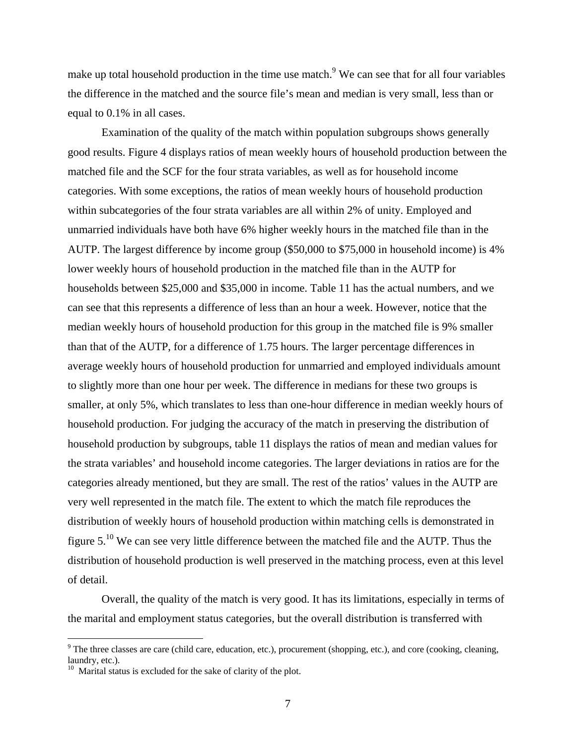make up total household production in the time use match.<sup>9</sup> We can see that for all four variables the difference in the matched and the source file's mean and median is very small, less than or equal to 0.1% in all cases.

Examination of the quality of the match within population subgroups shows generally good results. Figure 4 displays ratios of mean weekly hours of household production between the matched file and the SCF for the four strata variables, as well as for household income categories. With some exceptions, the ratios of mean weekly hours of household production within subcategories of the four strata variables are all within 2% of unity. Employed and unmarried individuals have both have 6% higher weekly hours in the matched file than in the AUTP. The largest difference by income group (\$50,000 to \$75,000 in household income) is 4% lower weekly hours of household production in the matched file than in the AUTP for households between \$25,000 and \$35,000 in income. Table 11 has the actual numbers, and we can see that this represents a difference of less than an hour a week. However, notice that the median weekly hours of household production for this group in the matched file is 9% smaller than that of the AUTP, for a difference of 1.75 hours. The larger percentage differences in average weekly hours of household production for unmarried and employed individuals amount to slightly more than one hour per week. The difference in medians for these two groups is smaller, at only 5%, which translates to less than one-hour difference in median weekly hours of household production. For judging the accuracy of the match in preserving the distribution of household production by subgroups, table 11 displays the ratios of mean and median values for the strata variables' and household income categories. The larger deviations in ratios are for the categories already mentioned, but they are small. The rest of the ratios' values in the AUTP are very well represented in the match file. The extent to which the match file reproduces the distribution of weekly hours of household production within matching cells is demonstrated in figure 5.10 We can see very little difference between the matched file and the AUTP. Thus the distribution of household production is well preserved in the matching process, even at this level of detail.

Overall, the quality of the match is very good. It has its limitations, especially in terms of the marital and employment status categories, but the overall distribution is transferred with

 $\overline{a}$ 

 $9^9$  The three classes are care (child care, education, etc.), procurement (shopping, etc.), and core (cooking, cleaning, laundry, etc.).

<sup>&</sup>lt;sup>10</sup> Marital status is excluded for the sake of clarity of the plot.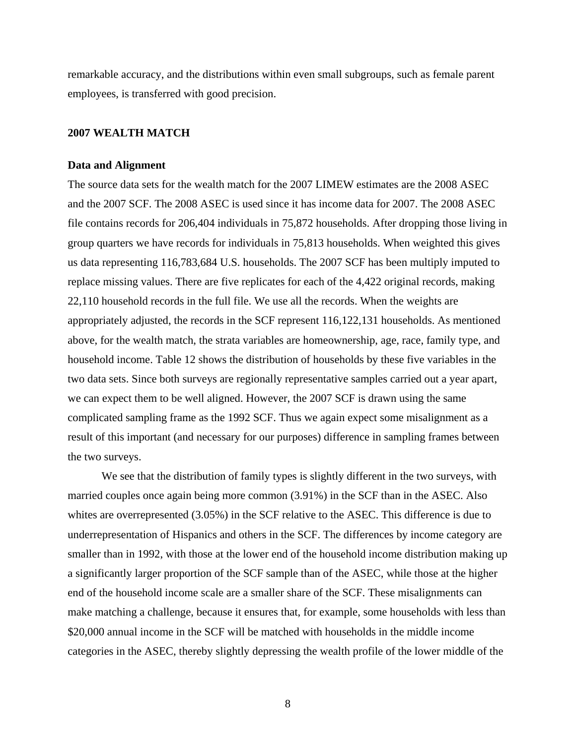remarkable accuracy, and the distributions within even small subgroups, such as female parent employees, is transferred with good precision.

## **2007 WEALTH MATCH**

#### **Data and Alignment**

The source data sets for the wealth match for the 2007 LIMEW estimates are the 2008 ASEC and the 2007 SCF. The 2008 ASEC is used since it has income data for 2007. The 2008 ASEC file contains records for 206,404 individuals in 75,872 households. After dropping those living in group quarters we have records for individuals in 75,813 households. When weighted this gives us data representing 116,783,684 U.S. households. The 2007 SCF has been multiply imputed to replace missing values. There are five replicates for each of the 4,422 original records, making 22,110 household records in the full file. We use all the records. When the weights are appropriately adjusted, the records in the SCF represent 116,122,131 households. As mentioned above, for the wealth match, the strata variables are homeownership, age, race, family type, and household income. Table 12 shows the distribution of households by these five variables in the two data sets. Since both surveys are regionally representative samples carried out a year apart, we can expect them to be well aligned. However, the 2007 SCF is drawn using the same complicated sampling frame as the 1992 SCF. Thus we again expect some misalignment as a result of this important (and necessary for our purposes) difference in sampling frames between the two surveys.

We see that the distribution of family types is slightly different in the two surveys, with married couples once again being more common (3.91%) in the SCF than in the ASEC. Also whites are overrepresented (3.05%) in the SCF relative to the ASEC. This difference is due to underrepresentation of Hispanics and others in the SCF. The differences by income category are smaller than in 1992, with those at the lower end of the household income distribution making up a significantly larger proportion of the SCF sample than of the ASEC, while those at the higher end of the household income scale are a smaller share of the SCF. These misalignments can make matching a challenge, because it ensures that, for example, some households with less than \$20,000 annual income in the SCF will be matched with households in the middle income categories in the ASEC, thereby slightly depressing the wealth profile of the lower middle of the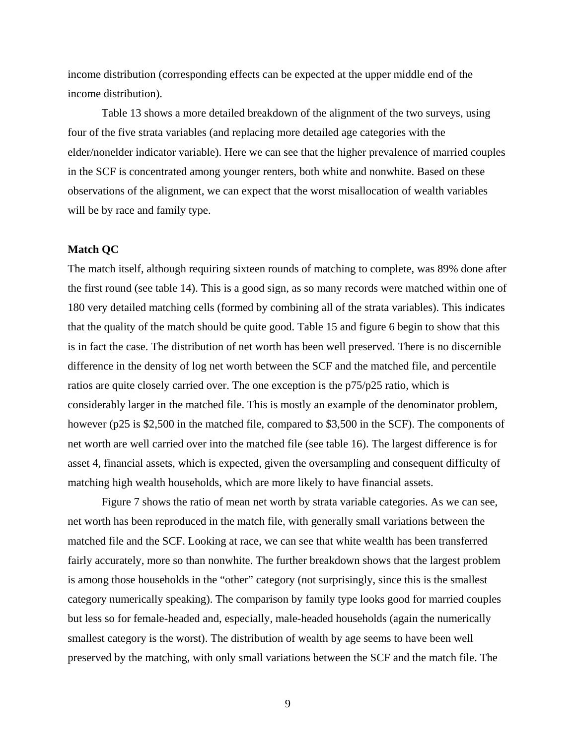income distribution (corresponding effects can be expected at the upper middle end of the income distribution).

Table 13 shows a more detailed breakdown of the alignment of the two surveys, using four of the five strata variables (and replacing more detailed age categories with the elder/nonelder indicator variable). Here we can see that the higher prevalence of married couples in the SCF is concentrated among younger renters, both white and nonwhite. Based on these observations of the alignment, we can expect that the worst misallocation of wealth variables will be by race and family type.

## **Match QC**

The match itself, although requiring sixteen rounds of matching to complete, was 89% done after the first round (see table 14). This is a good sign, as so many records were matched within one of 180 very detailed matching cells (formed by combining all of the strata variables). This indicates that the quality of the match should be quite good. Table 15 and figure 6 begin to show that this is in fact the case. The distribution of net worth has been well preserved. There is no discernible difference in the density of log net worth between the SCF and the matched file, and percentile ratios are quite closely carried over. The one exception is the p75/p25 ratio, which is considerably larger in the matched file. This is mostly an example of the denominator problem, however (p25 is \$2,500 in the matched file, compared to \$3,500 in the SCF). The components of net worth are well carried over into the matched file (see table 16). The largest difference is for asset 4, financial assets, which is expected, given the oversampling and consequent difficulty of matching high wealth households, which are more likely to have financial assets.

Figure 7 shows the ratio of mean net worth by strata variable categories. As we can see, net worth has been reproduced in the match file, with generally small variations between the matched file and the SCF. Looking at race, we can see that white wealth has been transferred fairly accurately, more so than nonwhite. The further breakdown shows that the largest problem is among those households in the "other" category (not surprisingly, since this is the smallest category numerically speaking). The comparison by family type looks good for married couples but less so for female-headed and, especially, male-headed households (again the numerically smallest category is the worst). The distribution of wealth by age seems to have been well preserved by the matching, with only small variations between the SCF and the match file. The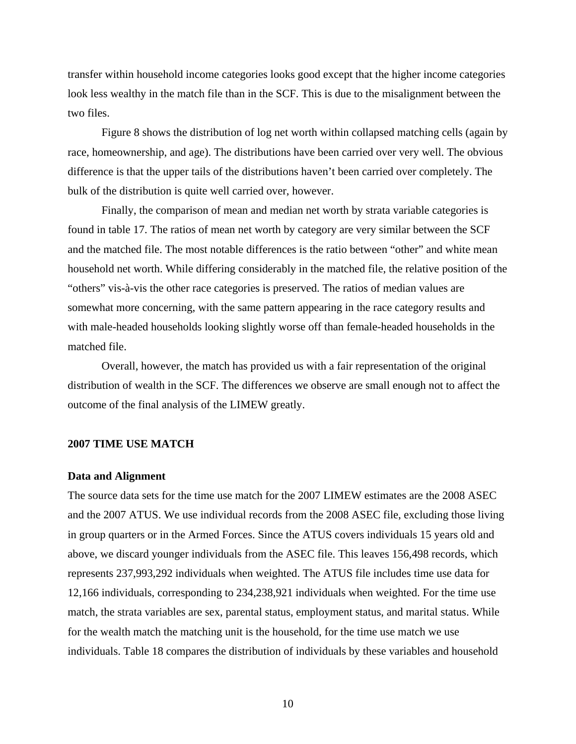transfer within household income categories looks good except that the higher income categories look less wealthy in the match file than in the SCF. This is due to the misalignment between the two files.

Figure 8 shows the distribution of log net worth within collapsed matching cells (again by race, homeownership, and age). The distributions have been carried over very well. The obvious difference is that the upper tails of the distributions haven't been carried over completely. The bulk of the distribution is quite well carried over, however.

Finally, the comparison of mean and median net worth by strata variable categories is found in table 17. The ratios of mean net worth by category are very similar between the SCF and the matched file. The most notable differences is the ratio between "other" and white mean household net worth. While differing considerably in the matched file, the relative position of the "others" vis-à-vis the other race categories is preserved. The ratios of median values are somewhat more concerning, with the same pattern appearing in the race category results and with male-headed households looking slightly worse off than female-headed households in the matched file.

Overall, however, the match has provided us with a fair representation of the original distribution of wealth in the SCF. The differences we observe are small enough not to affect the outcome of the final analysis of the LIMEW greatly.

### **2007 TIME USE MATCH**

### **Data and Alignment**

The source data sets for the time use match for the 2007 LIMEW estimates are the 2008 ASEC and the 2007 ATUS. We use individual records from the 2008 ASEC file, excluding those living in group quarters or in the Armed Forces. Since the ATUS covers individuals 15 years old and above, we discard younger individuals from the ASEC file. This leaves 156,498 records, which represents 237,993,292 individuals when weighted. The ATUS file includes time use data for 12,166 individuals, corresponding to 234,238,921 individuals when weighted. For the time use match, the strata variables are sex, parental status, employment status, and marital status. While for the wealth match the matching unit is the household, for the time use match we use individuals. Table 18 compares the distribution of individuals by these variables and household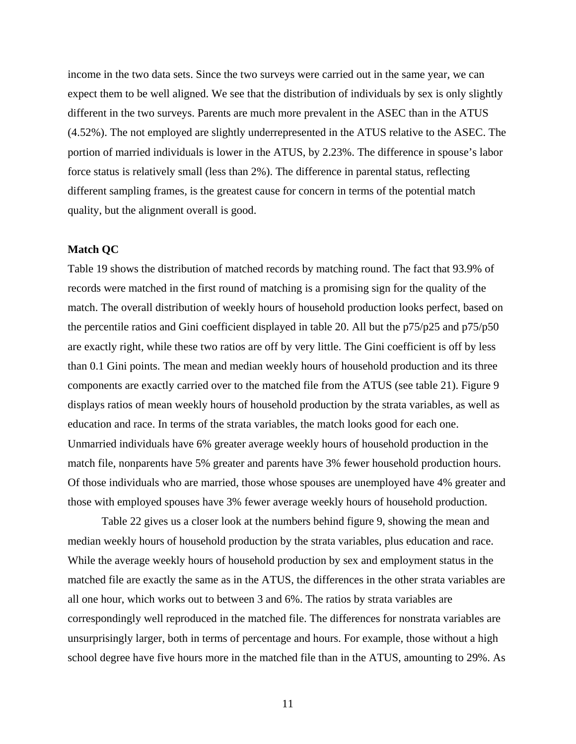income in the two data sets. Since the two surveys were carried out in the same year, we can expect them to be well aligned. We see that the distribution of individuals by sex is only slightly different in the two surveys. Parents are much more prevalent in the ASEC than in the ATUS (4.52%). The not employed are slightly underrepresented in the ATUS relative to the ASEC. The portion of married individuals is lower in the ATUS, by 2.23%. The difference in spouse's labor force status is relatively small (less than 2%). The difference in parental status, reflecting different sampling frames, is the greatest cause for concern in terms of the potential match quality, but the alignment overall is good.

### **Match QC**

Table 19 shows the distribution of matched records by matching round. The fact that 93.9% of records were matched in the first round of matching is a promising sign for the quality of the match. The overall distribution of weekly hours of household production looks perfect, based on the percentile ratios and Gini coefficient displayed in table 20. All but the p75/p25 and p75/p50 are exactly right, while these two ratios are off by very little. The Gini coefficient is off by less than 0.1 Gini points. The mean and median weekly hours of household production and its three components are exactly carried over to the matched file from the ATUS (see table 21). Figure 9 displays ratios of mean weekly hours of household production by the strata variables, as well as education and race. In terms of the strata variables, the match looks good for each one. Unmarried individuals have 6% greater average weekly hours of household production in the match file, nonparents have 5% greater and parents have 3% fewer household production hours. Of those individuals who are married, those whose spouses are unemployed have 4% greater and those with employed spouses have 3% fewer average weekly hours of household production.

Table 22 gives us a closer look at the numbers behind figure 9, showing the mean and median weekly hours of household production by the strata variables, plus education and race. While the average weekly hours of household production by sex and employment status in the matched file are exactly the same as in the ATUS, the differences in the other strata variables are all one hour, which works out to between 3 and 6%. The ratios by strata variables are correspondingly well reproduced in the matched file. The differences for nonstrata variables are unsurprisingly larger, both in terms of percentage and hours. For example, those without a high school degree have five hours more in the matched file than in the ATUS, amounting to 29%. As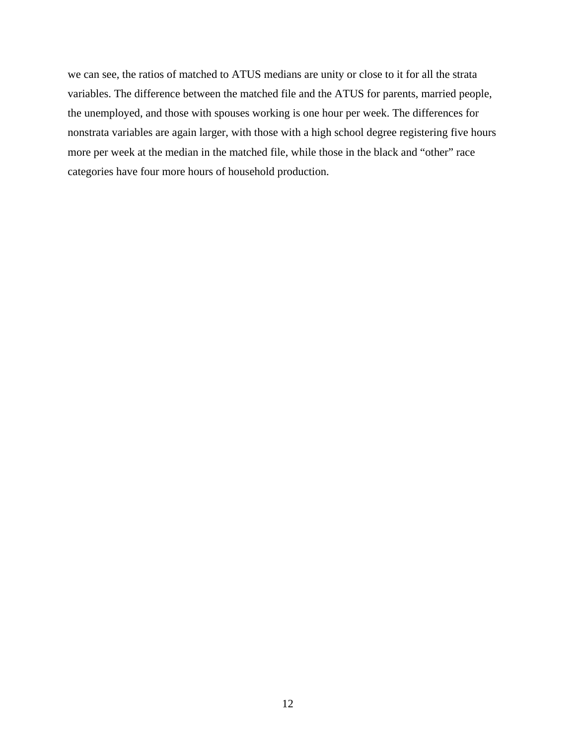we can see, the ratios of matched to ATUS medians are unity or close to it for all the strata variables. The difference between the matched file and the ATUS for parents, married people, the unemployed, and those with spouses working is one hour per week. The differences for nonstrata variables are again larger, with those with a high school degree registering five hours more per week at the median in the matched file, while those in the black and "other" race categories have four more hours of household production.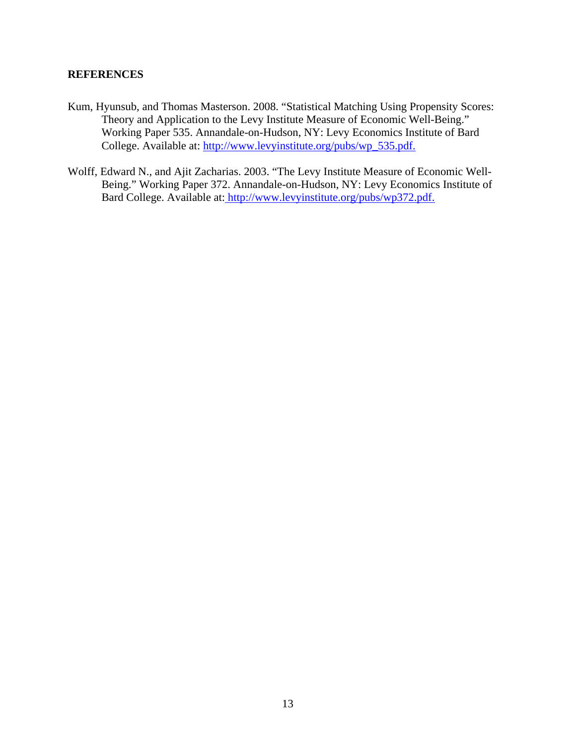## **REFERENCES**

- Kum, Hyunsub, and Thomas Masterson. 2008. "Statistical Matching Using Propensity Scores: Theory and Application to the Levy Institute Measure of Economic Well-Being." Working Paper 535. Annandale-on-Hudson, NY: Levy Economics Institute of Bard College. Available at: http://www.levyinstitute.org/pubs/wp\_535.pdf.
- Wolff, Edward N., and Ajit Zacharias. 2003. "The Levy Institute Measure of Economic Well-Being." Working Paper 372. Annandale-on-Hudson, NY: Levy Economics Institute of Bard College. Available at: http://www.levyinstitute.org/pubs/wp372.pdf.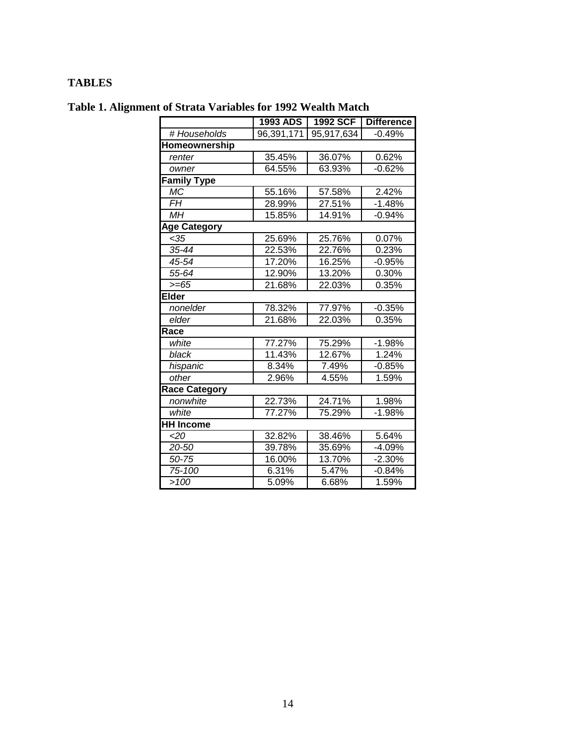## **TABLES**

| Table 1. Alignment of Strata Variables for 1992 Wealth Match |
|--------------------------------------------------------------|
|--------------------------------------------------------------|

|                     | <b>1993 ADS</b>      | 1992 SCF   | <b>Difference</b> |  |
|---------------------|----------------------|------------|-------------------|--|
| # Households        | 96,391,171           | 95,917,634 | $-0.49%$          |  |
| Homeownership       |                      |            |                   |  |
| renter              | 35.45%               | 36.07%     | 0.62%             |  |
| owner               | 64.55%               | 63.93%     | $-0.62%$          |  |
| <b>Family Type</b>  |                      |            |                   |  |
| МC                  | 55.16%               | 57.58%     | 2.42%             |  |
| <b>FH</b>           | 28.99%               | 27.51%     | $-1.48%$          |  |
| МH                  | 15.85%               | 14.91%     | $-0.94%$          |  |
| <b>Age Category</b> |                      |            |                   |  |
| < 35                | 25.69%               | 25.76%     | 0.07%             |  |
| 35-44               | 22.53%               | 22.76%     | 0.23%             |  |
| 45-54               | 17.20%               | 16.25%     | $-0.95%$          |  |
| 55-64               | 12.90%               | 13.20%     | 0.30%             |  |
| $>= 65$             | 21.68%               | 22.03%     | 0.35%             |  |
| <b>Elder</b>        |                      |            |                   |  |
| nonelder            | 78.32%               | 77.97%     | $-0.35%$          |  |
| elder               | 21.68%               | 22.03%     | 0.35%             |  |
| Race                |                      |            |                   |  |
| white               | $\overline{77.27\%}$ | 75.29%     | $-1.98%$          |  |
| black               | 11.43%               | 12.67%     | 1.24%             |  |
| hispanic            | 8.34%                | 7.49%      | $-0.85%$          |  |
| other               | 2.96%                | 4.55%      | 1.59%             |  |
| Race Category       |                      |            |                   |  |
| nonwhite            | 22.73%               | 24.71%     | 1.98%             |  |
| white               | 77.27%               | 75.29%     | $-1.98%$          |  |
| <b>HH Income</b>    |                      |            |                   |  |
| <20                 | 32.82%               | 38.46%     | 5.64%             |  |
| 20-50               | 39.78%               | 35.69%     | $-4.09%$          |  |
| 50-75               | 16.00%               | 13.70%     | $-2.30%$          |  |
| 75-100              | 6.31%                | 5.47%      | $-0.84%$          |  |
| >100                | 5.09%                | 6.68%      | 1.59%             |  |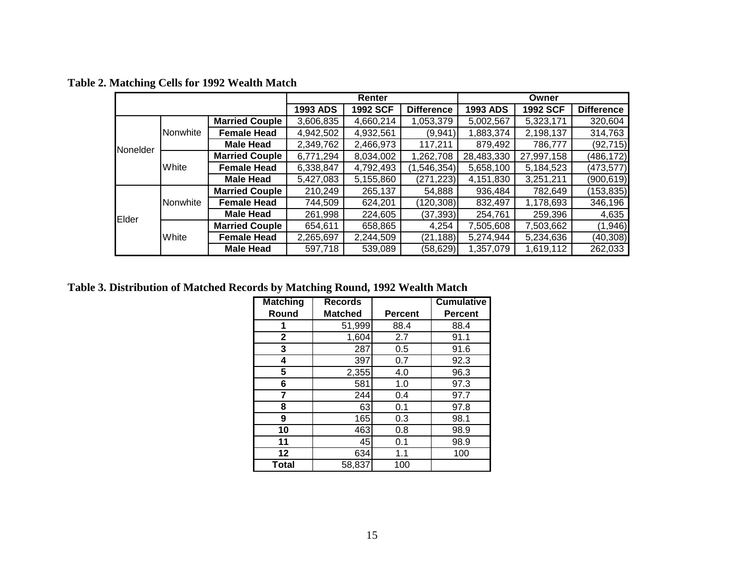|          |          |                       |                 | Renter          |                   |                 | Owner           |                   |
|----------|----------|-----------------------|-----------------|-----------------|-------------------|-----------------|-----------------|-------------------|
|          |          |                       | <b>1993 ADS</b> | <b>1992 SCF</b> | <b>Difference</b> | <b>1993 ADS</b> | <b>1992 SCF</b> | <b>Difference</b> |
|          |          | <b>Married Couple</b> | 3,606,835       | 4,660,214       | 1,053,379         | 5,002,567       | 5,323,171       | 320,604           |
|          | Nonwhite | <b>Female Head</b>    | 4,942,502       | 4,932,561       | (9,941)           | 1,883,374       | 2,198,137       | 314,763           |
| Nonelder |          | <b>Male Head</b>      | 2,349,762       | 2,466,973       | 117,211           | 879,492         | 786,777         | (92, 715)         |
|          | White    | <b>Married Couple</b> | 6,771,294       | 8,034,002       | ,262,708          | 28,483,330      | 27,997,158      | (486, 172)        |
|          |          | <b>Female Head</b>    | 6,338,847       | 4,792,493       | (1,546,354)       | 5,658,100       | 5,184,523       | (473, 577)        |
|          |          | <b>Male Head</b>      | 5,427,083       | 5,155,860       | (271, 223)        | 4,151,830       | 3,251,211       | (900, 619)        |
|          |          | <b>Married Couple</b> | 210,249         | 265,137         | 54,888            | 936,484         | 782,649         | (153, 835)        |
|          | Nonwhite | <b>Female Head</b>    | 744,509         | 624,201         | (120, 308)        | 832,497         | 1,178,693       | 346,196           |
| Elder    |          | <b>Male Head</b>      | 261,998         | 224,605         | (37, 393)         | 254,761         | 259,396         | 4,635             |
|          | White    | <b>Married Couple</b> | 654,611         | 658,865         | 4,254             | 7,505,608       | 7,503,662       | (1, 946)          |
|          |          | <b>Female Head</b>    | 2,265,697       | 2,244,509       | (21, 188)         | 5,274,944       | 5,234,636       | (40, 308)         |
|          |          | <b>Male Head</b>      | 597,718         | 539,089         | (58, 629)         | 1,357,079       | 1,619,112       | 262,033           |

**Table 2. Matching Cells for 1992 Wealth Match** 

**Table 3. Distribution of Matched Records by Matching Round, 1992 Wealth Match** 

| <b>Matching</b> | <b>Records</b> |                | <b>Cumulative</b> |
|-----------------|----------------|----------------|-------------------|
| Round           | <b>Matched</b> | <b>Percent</b> | <b>Percent</b>    |
|                 | 51,999         | 88.4           | 88.4              |
| 2               | 1,604          | 2.7            | 91.1              |
| 3               | 287            | 0.5            | 91.6              |
| 4               | 397            | 0.7            | 92.3              |
| 5               | 2,355          | 4.0            | 96.3              |
| 6               | 581            | 1.0            | 97.3              |
| 7               | 244            | 0.4            | 97.7              |
| 8               | 63             | 0.1            | 97.8              |
| 9               | 165            | 0.3            | 98.1              |
| 10              | 463            | 0.8            | 98.9              |
| 11              | 45             | 0.1            | 98.9              |
| 12              | 634            | 1.1            | 100               |
| Total           | 58,837         | 100            |                   |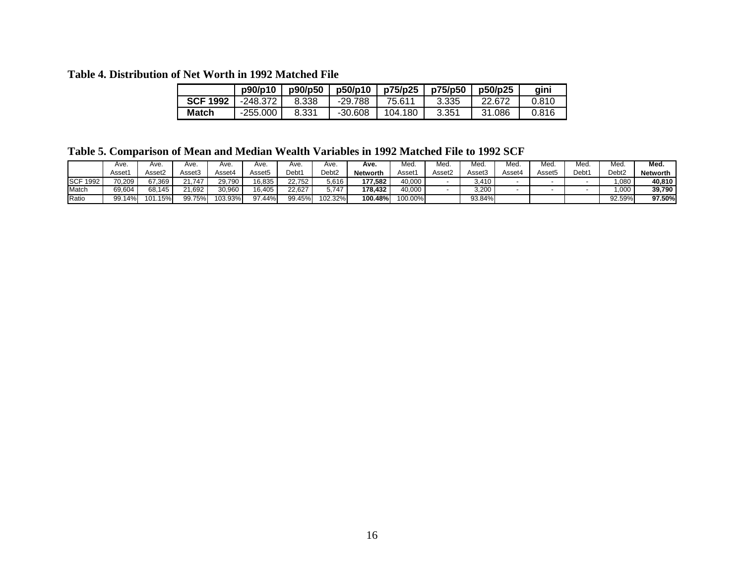#### **Table 4. Distribution of Net Worth in 1992 Matched File**

|                 | p90/p10    | p90/p50 | p50/p10   | p75/p25 l | p75/p50 | p50/p25 | gini  |
|-----------------|------------|---------|-----------|-----------|---------|---------|-------|
| <b>SCF 1992</b> | -248.372   | 8.338   | -29.788   | 75.611    | 3.335   | 22.672  | 0.810 |
| <b>Match</b>    | $-255.000$ | 8.331   | $-30.608$ | 104.180   | 3.351   | 31.086  | 0.816 |

**Table 5. Comparison of Mean and Median Wealth Variables in 1992 Matched File to 1992 SCF** 

|                    | Ave                | Ave.               | Ave.   | Ave.    | Ave.   | Ave.   | Ave.    | Ave.            | Med     | Med.   | Med                | Mec    | Med.   | Med.  | Med.              | Med.            |
|--------------------|--------------------|--------------------|--------|---------|--------|--------|---------|-----------------|---------|--------|--------------------|--------|--------|-------|-------------------|-----------------|
|                    | Asset <sup>.</sup> | Asset <sub>2</sub> | Asset3 | Asset4  | Asset5 | Debt1  | Debt2   | <b>Networth</b> | Asset′  | Asset2 | Asset <sub>3</sub> | Asset∠ | Asset5 | Debt1 | Debt <sub>2</sub> | <b>Networth</b> |
| <b>SCF</b><br>1992 | 70,209             | 67.369             | .747   | 29.790  | 16,835 | 22.752 | 5,616   | 177.582         | 40,000  |        | .410               |        |        |       | ,080              | 40.810          |
| Match              | 69,604             | 68.145             | 21.692 | 30.960  | 16.405 | 22.627 | 5.747   | 178.432         | 40.000  |        | 3,200              |        |        |       | .000              | 39.790          |
| Ratio              | 99.14%             | 15%i<br>101.       | 99.75% | 103.93% | 97.44% | 99.45% | 102.32% | 100.48%         | 100.00% |        | 93.84%             |        |        |       | 92.59%            | 97.50%          |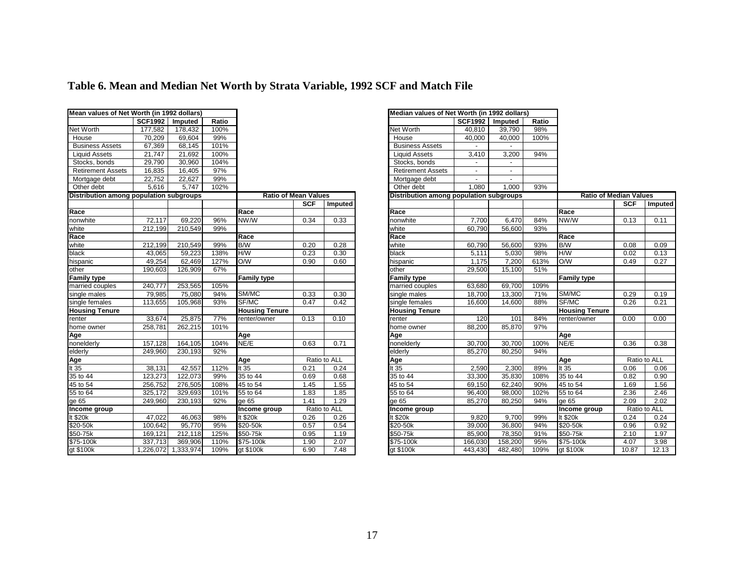|  | Table 6. Mean and Median Net Worth by Strata Variable, 1992 SCF and Match File |
|--|--------------------------------------------------------------------------------|
|  |                                                                                |

| Mean values of Net Worth (in 1992 dollars) |                |                     |       |                             |            |              | Median values of Net Worth (in 1992 dollars) |                |         |       |                               |            |              |
|--------------------------------------------|----------------|---------------------|-------|-----------------------------|------------|--------------|----------------------------------------------|----------------|---------|-------|-------------------------------|------------|--------------|
|                                            | <b>SCF1992</b> | Imputed             | Ratio |                             |            |              |                                              | <b>SCF1992</b> | Imputed | Ratio |                               |            |              |
| Net Worth                                  | 177,582        | 178,432             | 100%  |                             |            |              | Net Worth                                    | 40,810         | 39,790  | 98%   |                               |            |              |
| House                                      | 70,209         | 69,604              | 99%   |                             |            |              | House                                        | 40,000         | 40,000  | 100%  |                               |            |              |
| <b>Business Assets</b>                     | 67,369         | 68,145              | 101%  |                             |            |              | <b>Business Assets</b>                       |                | $\sim$  |       |                               |            |              |
| <b>Liquid Assets</b>                       | 21,747         | 21,692              | 100%  |                             |            |              | <b>Liquid Assets</b>                         | 3,410          | 3,200   | 94%   |                               |            |              |
| Stocks, bonds                              | 29,790         | 30,960              | 104%  |                             |            |              | Stocks, bonds                                |                |         |       |                               |            |              |
| <b>Retirement Assets</b>                   | 16,835         | 16,405              | 97%   |                             |            |              | <b>Retirement Assets</b>                     |                | ٠       |       |                               |            |              |
| Mortgage debt                              | 22,752         | 22,627              | 99%   |                             |            |              | Mortgage debt                                |                | $\sim$  |       |                               |            |              |
| Other debt                                 | 5,616          | 5,747               | 102%  |                             |            |              | Other debt                                   | 1,080          | 1,000   | 93%   |                               |            |              |
| Distribution among population subgroups    |                |                     |       | <b>Ratio of Mean Values</b> |            |              | Distribution among population subgroups      |                |         |       | <b>Ratio of Median Values</b> |            |              |
|                                            |                |                     |       |                             | <b>SCF</b> | Imputed      |                                              |                |         |       |                               | <b>SCF</b> | Impute       |
| Race                                       |                |                     |       | Race                        |            |              | Race                                         |                |         |       | Race                          |            |              |
| nonwhite                                   | 72,117         | 69,220              | 96%   | NW/W                        | 0.34       | 0.33         | nonwhite                                     | 7,700          | 6,470   | 84%   | NW/W                          | 0.13       | 0.11         |
| white                                      | 212,199        | 210,549             | 99%   |                             |            |              | white                                        | 60,790         | 56,600  | 93%   |                               |            |              |
| Race                                       |                |                     |       | Race                        |            |              | Race                                         |                |         |       | Race                          |            |              |
| white                                      | 212,199        | 210,549             | 99%   | B/W                         | 0.20       | 0.28         | white                                        | 60,790         | 56,600  | 93%   | B/W                           | 0.08       | 0.09         |
| black                                      | 43,065         | 59,223              | 138%  | H/W                         | 0.23       | 0.30         | black                                        | 5,111          | 5,030   | 98%   | H/W                           | 0.02       | 0.13         |
| hispanic                                   | 49,254         | 62,469              | 127%  | O/W                         | 0.90       | 0.60         | hispanic                                     | 1,175          | 7,200   | 613%  | O/W                           | 0.49       | 0.27         |
| other                                      | 190,603        | 126,909             | 67%   |                             |            |              | other                                        | 29,500         | 15,100  | 51%   |                               |            |              |
| <b>Family type</b>                         |                |                     |       | <b>Family type</b>          |            |              | <b>Family type</b>                           |                |         |       | <b>Family type</b>            |            |              |
| married couples                            | 240,777        | 253,565             | 105%  |                             |            |              | married couples                              | 63,680         | 69,700  | 109%  |                               |            |              |
| single males                               | 79,985         | 75,080              | 94%   | SM/MC                       | 0.33       | 0.30         | single males                                 | 18,700         | 13,300  | 71%   | SM/MC                         | 0.29       | 0.19         |
| single females                             | 113,655        | 105,968             | 93%   | SF/MC                       | 0.47       | 0.42         | single females                               | 16,600         | 14,600  | 88%   | SF/MC                         | 0.26       | 0.21         |
| <b>Housing Tenure</b>                      |                |                     |       | <b>Housing Tenure</b>       |            |              | <b>Housing Tenure</b>                        |                |         |       | <b>Housing Tenure</b>         |            |              |
| renter                                     | 33,674         | 25,875              | 77%   | renter/owner                | 0.13       | 0.10         | renter                                       | 120            | 101     | 84%   | renter/owner                  | 0.00       | 0.00         |
| home owner                                 | 258,781        | 262,215             | 101%  |                             |            |              | home owner                                   | 88,200         | 85,870  | 97%   |                               |            |              |
| Age<br>nonelderly                          |                |                     |       | Age                         |            |              | Age                                          |                |         |       | Age                           |            |              |
|                                            | 157,128        | 164,105             | 104%  | NE/E                        | 0.63       | 0.71         | nonelderly                                   | 30,700         | 30,700  | 100%  | NE/E                          | 0.36       | 0.38         |
| elderly                                    | 249,960        | 230,193             | 92%   |                             |            |              | elderly                                      | 85,270         | 80,250  | 94%   |                               |            |              |
| Age<br>It 35                               |                |                     |       | Age                         |            | Ratio to ALL | Age                                          |                |         |       | Age                           |            | Ratio to ALL |
|                                            | 38,131         | 42,557              | 112%  | It $35$                     | 0.21       | 0.24         | It $35$                                      | 2,590          | 2,300   | 89%   | It $35$                       | 0.06       | 0.06         |
| $\frac{1135}{35}$ to 44<br>45 to 54        | 123,273        | 122,073             | 99%   | 35 to 44                    | 0.69       | 0.68         | 35 to 44                                     | 33,300         | 35,830  | 108%  | 35 to 44                      | 0.82       | 0.90         |
|                                            | 256,752        | 276,505             | 108%  | 45 to 54                    | 1.45       | 1.55         | 45 to 54                                     | 69,150         | 62,240  | 90%   | 45 to 54                      | 1.69       | 1.56         |
| 55 to 64                                   | 325,172        | 329,693             | 101%  | 55 to 64                    | 1.83       | 1.85         | 55 to 64                                     | 96,400         | 98,000  | 102%  | 55 to 64                      | 2.36       | 2.46         |
| ge 65                                      | 249,960        | 230,193             | 92%   | ge $65$                     | 1.41       | 1.29         | ge $65$                                      | 85,270         | 80,250  | 94%   | ge $65$                       | 2.09       | 2.02         |
| Income group                               |                |                     |       | Income group                |            | Ratio to ALL | Income group                                 |                |         |       | Income group                  |            | Ratio to ALL |
| It $$20k$                                  | 47,022         | 46,063              | 98%   | It \$20k                    | 0.26       | 0.26         | $t$ \$20 $k$                                 | 9,820          | 9,700   | 99%   | It $$20k$                     | 0.24       | 0.24         |
| \$20-50k                                   | 100,642        | 95,770              | 95%   | $$20-50k$                   | 0.57       | 0.54         | \$20-50k                                     | 39,000         | 36.800  | 94%   | $$20-50k$                     | 0.96       | 0.92         |
| \$50-75k                                   | 169,121        | 212,118             | 125%  | \$50-75k                    | 0.95       | 1.19         | \$50-75k                                     | 85,900         | 78,350  | 91%   | \$50-75k                      | 2.10       | 1.97         |
| \$75-100k<br>gt \$100k                     | 337,713        | 369,906             | 110%  | \$75-100k                   | 1.90       | 2.07         | \$75-100k                                    | 166,030        | 158,200 | 95%   | \$75-100k                     | 4.07       | 3.98         |
|                                            |                | 1,226,072 1,333,974 | 109%  | gt \$100k                   | 6.90       | 7.48         | gt \$100k                                    | 443,430        | 482,480 | 109%  | gt \$100k                     | 10.87      | 12.13        |

|          |              | Median values of Net Worth (in 1992 dollars) |                |         |       |                               |            |              |  |
|----------|--------------|----------------------------------------------|----------------|---------|-------|-------------------------------|------------|--------------|--|
|          |              |                                              | <b>SCF1992</b> | Imputed | Ratio |                               |            |              |  |
|          |              | Net Worth                                    | 40,810         | 39,790  | 98%   |                               |            |              |  |
|          |              | House                                        | 40,000         | 40,000  | 100%  |                               |            |              |  |
|          |              | <b>Business Assets</b>                       |                |         |       |                               |            |              |  |
|          |              | <b>Liquid Assets</b>                         | 3,410          | 3,200   | 94%   |                               |            |              |  |
|          |              | Stocks, bonds                                |                |         |       |                               |            |              |  |
|          |              | <b>Retirement Assets</b>                     |                |         |       |                               |            |              |  |
|          |              | Mortgage debt                                | $\blacksquare$ |         |       |                               |            |              |  |
|          |              | Other debt                                   | 1,080          | 1,000   | 93%   |                               |            |              |  |
| n Values |              | Distribution among population subgroups      |                |         |       | <b>Ratio of Median Values</b> |            |              |  |
| SCF      | Imputed      |                                              |                |         |       |                               | <b>SCF</b> | Imputed      |  |
|          |              | Race                                         |                |         |       | Race                          |            |              |  |
| 0.34     | 0.33         | nonwhite                                     | 7,700          | 6,470   | 84%   | NW/W                          | 0.13       | 0.11         |  |
|          |              | white                                        | 60,790         | 56,600  | 93%   |                               |            |              |  |
|          |              | Race                                         |                |         |       | Race                          |            |              |  |
| 0.20     | 0.28         | white                                        | 60,790         | 56,600  | 93%   | B/W                           | 0.08       | 0.09         |  |
| 0.23     | 0.30         | black                                        | 5,111          | 5,030   | 98%   | <b>M/H</b>                    | 0.02       | 0.13         |  |
| 0.90     | 0.60         | hispanic                                     | 1,175          | 7,200   | 613%  | WO                            | 0.49       | 0.27         |  |
|          |              | other                                        | 29,500         | 15,100  | 51%   |                               |            |              |  |
|          |              | <b>Family type</b>                           |                |         |       | <b>Family type</b>            |            |              |  |
|          |              | married couples                              | 63,680         | 69,700  | 109%  |                               |            |              |  |
| 0.33     | 0.30         | single males                                 | 18,700         | 13,300  | 71%   | SM/MC                         | 0.29       | 0.19         |  |
| 0.47     | 0.42         | single females                               | 16,600         | 14.600  | 88%   | SF/MC                         | 0.26       | 0.21         |  |
|          |              | <b>Housing Tenure</b>                        |                |         |       | <b>Housing Tenure</b>         |            |              |  |
| 0.13     | 0.10         | renter                                       | 120            | 101     | 84%   | renter/owner                  | 0.00       | 0.00         |  |
|          |              | home owner                                   | 88,200         | 85,870  | 97%   |                               |            |              |  |
|          |              | Age                                          |                |         |       | Age                           |            |              |  |
| 0.63     | 0.71         | nonelderly                                   | 30,700         | 30,700  | 100%  | NE/E                          | 0.36       | 0.38         |  |
|          |              | elderly                                      | 85.270         | 80.250  | 94%   |                               |            |              |  |
|          | Ratio to ALL | Age                                          |                |         |       | Age                           |            | Ratio to ALL |  |
| 0.21     | 0.24         | It 35                                        | 2,590          | 2,300   | 89%   | It 35                         | 0.06       | 0.06         |  |
| 0.69     | 0.68         | 35 to 44                                     | 33,300         | 35,830  | 108%  | 35 to 44                      | 0.82       | 0.90         |  |
| 1.45     | 1.55         | 45 to 54                                     | 69,150         | 62,240  | 90%   | 45 to 54                      | 1.69       | 1.56         |  |
| 1.83     | 1.85         | 55 to 64                                     | 96,400         | 98,000  | 102%  | 55 to 64                      | 2.36       | 2.46         |  |
| 1.41     | 1.29         | ae 65                                        | 85,270         | 80,250  | 94%   | ge 65                         | 2.09       | 2.02         |  |
|          | Ratio to ALL | Income group                                 |                |         |       | Income group                  |            | Ratio to ALL |  |
| 0.26     | 0.26         | It \$20k                                     | 9,820          | 9,700   | 99%   | It \$20k                      | 0.24       | 0.24         |  |
| 0.57     | 0.54         | \$20-50k                                     | 39.000         | 36,800  | 94%   | \$20-50k                      | 0.96       | 0.92         |  |
| 0.95     | 1.19         | \$50-75k                                     | 85,900         | 78,350  | 91%   | \$50-75k                      | 2.10       | 1.97         |  |
| 1.90     | 2.07         | \$75-100k                                    | 166,030        | 158,200 | 95%   | \$75-100k                     | 4.07       | 3.98         |  |
| 6.90     | 7.48         | gt \$100k                                    | 443,430        | 482,480 | 109%  | gt \$100k                     | 10.87      | 12.13        |  |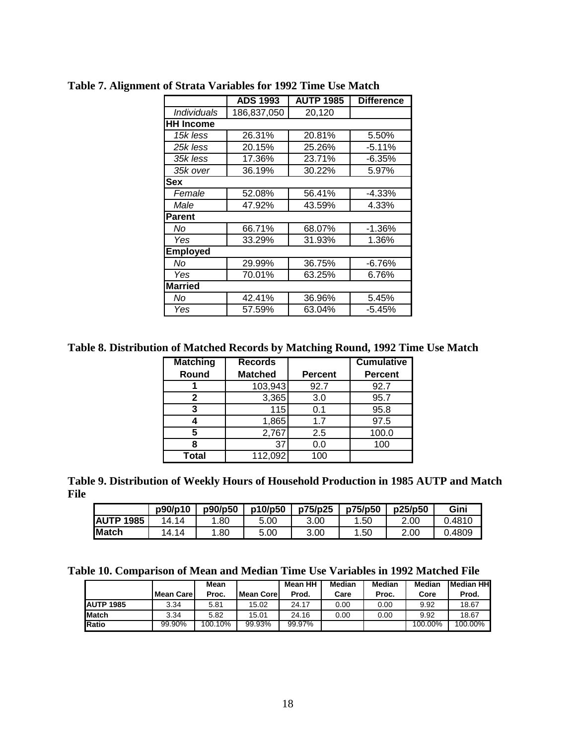|                    | <b>ADS 1993</b> | <b>AUTP 1985</b> | <b>Difference</b> |  |  |
|--------------------|-----------------|------------------|-------------------|--|--|
| <b>Individuals</b> | 186,837,050     | 20,120           |                   |  |  |
| <b>HH Income</b>   |                 |                  |                   |  |  |
| 15k less           | 26.31%          | 20.81%           | 5.50%             |  |  |
| 25k less           | 20.15%          | 25.26%           | $-5.11%$          |  |  |
| 35k less           | 17.36%          | 23.71%           | $-6.35%$          |  |  |
| 35k over           | 36.19%          | 30.22%           | 5.97%             |  |  |
| Sex                |                 |                  |                   |  |  |
| Female             | 52.08%          | 56.41%           | $-4.33%$          |  |  |
| Male               | 47.92%          | 43.59%           | 4.33%             |  |  |
| <b>Parent</b>      |                 |                  |                   |  |  |
| No                 | 66.71%          | 68.07%           | $-1.36%$          |  |  |
| Yes                | 33.29%          | 31.93%           | 1.36%             |  |  |
| <b>Employed</b>    |                 |                  |                   |  |  |
| No                 | 29.99%          | 36.75%           | $-6.76%$          |  |  |
| Yes                | 70.01%          | 63.25%           | 6.76%             |  |  |
| <b>Married</b>     |                 |                  |                   |  |  |
| No                 | 42.41%          | 36.96%           | 5.45%             |  |  |
| Yes                | 57.59%          | 63.04%           | $-5.45%$          |  |  |

**Table 7. Alignment of Strata Variables for 1992 Time Use Match** 

**Table 8. Distribution of Matched Records by Matching Round, 1992 Time Use Match** 

| <b>Matching</b> | <b>Records</b> |                | <b>Cumulative</b> |
|-----------------|----------------|----------------|-------------------|
| Round           | <b>Matched</b> | <b>Percent</b> | <b>Percent</b>    |
|                 | 103,943        | 92.7           | 92.7              |
| 2               | 3,365          | 3.0            | 95.7              |
| 3               | 115            | 0.1            | 95.8              |
|                 | 1,865          | 1.7            | 97.5              |
| 5               | 2,767          | 2.5            | 100.0             |
|                 | 37             | 0.0            | 100               |
| <b>Total</b>    | 112,092        | 100            |                   |

**Table 9. Distribution of Weekly Hours of Household Production in 1985 AUTP and Match File** 

|                   | p90/p10   | p90/p50 | p10/p50 | p75/p25 | p75/p50 | p25/p50 | Gini   |
|-------------------|-----------|---------|---------|---------|---------|---------|--------|
| <b>IAUTP 1985</b> | 14<br>14. | .80     | 5.00    | 3.00    | .50     | 2.00    | .4810  |
| Match             | 14<br>'4. | .80     | 5.00    | 3.00    | .50     | 2.00    | 0.4809 |

**Table 10. Comparison of Mean and Median Time Use Variables in 1992 Matched File** 

|                   |                   | Mean    |            | Mean HH | <b>Median</b> | Median | Median  | <b>I</b> Median HHI |
|-------------------|-------------------|---------|------------|---------|---------------|--------|---------|---------------------|
|                   | <b>Mean Carel</b> | Proc.   | Mean Corel | Prod.   | Care          | Proc.  | Core    | Prod.               |
| <b>JAUTP 1985</b> | 3.34              | 5.81    | 15.02      | 24.17   | 0.00          | 0.00   | 9.92    | 18.67               |
| <b>Match</b>      | 3.34              | 5.82    | 15.01      | 24.16   | 0.00          | 0.00   | 9.92    | 18.67               |
| <b>IRatio</b>     | 99.90%            | 100.10% | 99.93%     | 99.97%  |               |        | 100.00% | 100.00%             |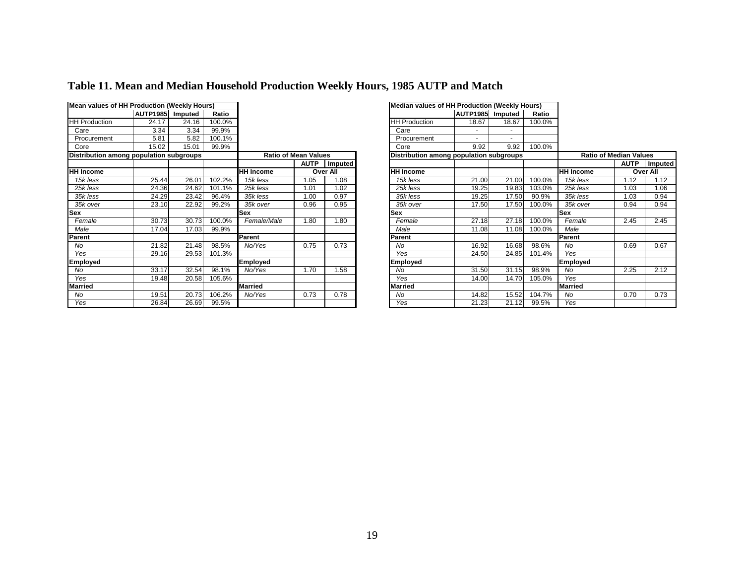| Mean values of HH Production (Weekly Hours) |                 |         |        |                  |                                                                        |                | Median values of HH Production (Weekly Hours) |                  |       |                               |                  |         |  |
|---------------------------------------------|-----------------|---------|--------|------------------|------------------------------------------------------------------------|----------------|-----------------------------------------------|------------------|-------|-------------------------------|------------------|---------|--|
|                                             | <b>AUTP1985</b> | Imputed | Ratio  |                  |                                                                        |                |                                               | AUTP1985 Imputed |       | Ratio                         |                  |         |  |
| <b>HH Production</b>                        | 24.17           | 24.16   | 100.0% |                  |                                                                        |                | <b>HH Production</b>                          | 18.67            | 18.67 | 100.0%                        |                  |         |  |
| Care                                        | 3.34            | 3.34    | 99.9%  |                  |                                                                        |                | Care                                          | $\overline{a}$   |       |                               |                  |         |  |
| Procurement                                 | 5.81            | 5.82    | 100.1% |                  |                                                                        |                | Procurement                                   |                  |       |                               |                  |         |  |
| Core                                        | 15.02           | 15.01   | 99.9%  |                  |                                                                        |                | Core                                          | 9.92             | 9.92  | 100.0%                        |                  |         |  |
| Distribution among population subgroups     |                 |         |        |                  | <b>Ratio of Mean Values</b><br>Distribution among population subgroups |                |                                               |                  |       | <b>Ratio of Median Values</b> |                  |         |  |
|                                             |                 |         |        |                  | <b>AUTP</b>                                                            | <b>Imputed</b> |                                               |                  |       |                               |                  | AUTP In |  |
| <b>HH Income</b>                            |                 |         |        | <b>HH Income</b> |                                                                        | Over All       | <b>HH Income</b>                              |                  |       |                               | <b>HH Income</b> | Over /  |  |
| 15k less                                    | 25.44           | 26.01   | 102.2% | 15k less         | 1.05                                                                   | 80.1           | 15k less                                      | 21.00            | 21.00 | 100.0%                        | 15k less         | 1.12    |  |
| 25k less                                    | 24.36           | 24.62   | 101.1% | 25k less         | 1.01                                                                   | .02            | 25k less                                      | 19.25            | 19.83 | 103.0%                        | 25k less         | 1.03    |  |
| 35k less                                    | 24.29           | 23.42   | 96.4%  | 35k less         | 1.00                                                                   | 0.97           | 35k less                                      | 19.25            | 17.50 | 90.9%                         | 35k less         | 1.03    |  |
| 35k over                                    | 23.10           | 22.92   | 99.2%  | 35k over         | 0.96                                                                   | 0.95           | 35k over                                      | 17.50            | 17.50 | 100.0%                        | 35k over         | 0.94    |  |
| Sex                                         |                 |         |        | <b>Sex</b>       |                                                                        |                | <b>Sex</b>                                    |                  |       |                               | <b>Sex</b>       |         |  |
| Female                                      | 30.73           | 30.73   | 100.0% | Female/Male      | 1.80                                                                   | 1.80           | Female                                        | 27.18            | 27.18 | $100.0\%$                     | Female           | 2.45    |  |
| Male                                        | 17.04           | 17.03   | 99.9%  |                  |                                                                        |                | Male                                          | 11.08            | 11.08 | 100.0%                        | Male             |         |  |
| Parent                                      |                 |         |        | Parent           |                                                                        |                | Parent                                        |                  |       |                               | Parent           |         |  |
| No                                          | 21.82           | 21.48   | 98.5%  | No/Yes           | 0.75                                                                   | 0.73           | No                                            | 16.92            | 16.68 | 98.6%                         | No               | 0.69    |  |
| Yes                                         | 29.16           | 29.53   | 101.3% |                  |                                                                        |                | Yes                                           | 24.50            | 24.85 | 101.4%                        | Yes              |         |  |
| Employed                                    |                 |         |        | <b>Employed</b>  |                                                                        |                | Employed                                      |                  |       |                               | <b>Employed</b>  |         |  |
| No                                          | 33.17           | 32.54   | 98.1%  | No/Yes           | 1.70                                                                   | 1.58           | No.                                           | 31.50            | 31.15 | 98.9%                         | No               | 2.25    |  |
| Yes                                         | 19.48           | 20.58   | 105.6% |                  |                                                                        |                | Yes                                           | 14.00            | 14.70 | 105.0%                        | Yes              |         |  |
| <b>Married</b>                              |                 |         |        | <b>Married</b>   |                                                                        |                | <b>Married</b>                                |                  |       |                               | Married          |         |  |
| No                                          | 19.51           | 20.73   | 106.2% | No/Yes           | 0.73                                                                   | 0.78           | No                                            | 14.82            | 15.52 | 104.7%                        | No               | 0.70    |  |
| Yes                                         | 26.84           | 26.69   | 99.5%  |                  |                                                                        |                | Yes                                           | 21.23            | 21.12 | 99.5%                         | Yes              |         |  |

# **Table 11. Mean and Median Household Production Weekly Hours, 1985 AUTP and Match**

|                          |                  |                             |          | Median values of HH Production (Weekly Hours) |                 |         |        |                               |             |          |
|--------------------------|------------------|-----------------------------|----------|-----------------------------------------------|-----------------|---------|--------|-------------------------------|-------------|----------|
| io                       |                  |                             |          |                                               | <b>AUTP1985</b> | Imputed | Ratio  |                               |             |          |
| $\frac{10}{\%}$          |                  |                             |          | <b>HH Production</b>                          | 18.67           | 18.67   | 100.0% |                               |             |          |
|                          |                  |                             |          | Care                                          |                 |         |        |                               |             |          |
| $\frac{1}{6}$            |                  |                             |          | Procurement                                   |                 |         |        |                               |             |          |
| $\frac{1}{\%}$           |                  |                             |          | Core                                          | 9.92            | 9.92    | 100.0% |                               |             |          |
|                          |                  | <b>Ratio of Mean Values</b> |          | Distribution among population subgroups       |                 |         |        | <b>Ratio of Median Values</b> |             |          |
|                          |                  | <b>AUTP</b>                 | Imputed  |                                               |                 |         |        |                               | <b>AUTP</b> | Imputed  |
|                          | <b>HH Income</b> |                             | Over All | <b>HH Income</b>                              |                 |         |        | <b>HH Income</b>              |             | Over All |
| 2%                       | 15k less         | 1.05                        | 1.08     | 15k less                                      | 21.00           | 21.00   | 100.0% | 15k less                      | 1.12        | 1.12     |
| $\frac{9}{6}$            | 25k less         | 1.01                        | 1.02     | 25k less                                      | 19.25           | 19.83   | 103.0% | 25k less                      | 1.03        | 1.06     |
| ℅                        | 35k less         | 1.00                        | 0.97     | 35k less                                      | 19.25           | 17.50   | 90.9%  | 35k less                      | 1.03        | 0.94     |
| %                        | 35k over         | 0.96                        | 0.95     | 35k over                                      | 17.50           | 17.50   | 100.0% | 35k over                      | 0.94        | 0.94     |
|                          | <b>Sex</b>       |                             |          | Sex                                           |                 |         |        | <b>Sex</b>                    |             |          |
| $\overline{\frac{9}{6}}$ | Female/Male      | 1.80                        | 1.80     | Female                                        | 27.18           | 27.18   | 100.0% | Female                        | 2.45        | 2.45     |
| %                        |                  |                             |          | Male                                          | 11.08           | 11.08   | 100.0% | Male                          |             |          |
|                          | Parent           |                             |          | Parent                                        |                 |         |        | Parent                        |             |          |
| %                        | No/Yes           | 0.75                        | 0.73     | No                                            | 16.92           | 16.68   | 98.6%  | No                            | 0.69        | 0.67     |
| 3%                       |                  |                             |          | Yes                                           | 24.50           | 24.85   | 101.4% | Yes                           |             |          |
|                          | <b>Employed</b>  |                             |          | Employed                                      |                 |         |        | <b>Employed</b>               |             |          |
| %                        | No/Yes           | 1.70                        | 1.58     | No                                            | 31.50           | 31.15   | 98.9%  | No                            | 2.25        | 2.12     |
| 5%                       |                  |                             |          | Yes                                           | 14.00           | 14.70   | 105.0% | Yes                           |             |          |
|                          | <b>Married</b>   |                             |          | <b>Married</b>                                |                 |         |        | <b>Married</b>                |             |          |
| 2%                       | No/Yes           | 0.73                        | 0.78     | No                                            | 14.82           | 15.52   | 104.7% | No                            | 0.70        | 0.73     |
| %                        |                  |                             |          | Yes                                           | 21.23           | 21.12   | 99.5%  | Yes                           |             |          |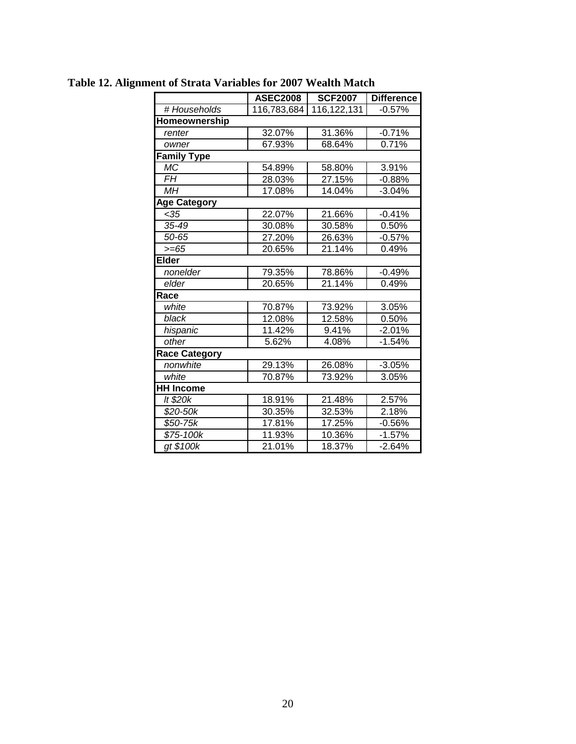| <b>ASEC2008</b> |             | <b>Difference</b> |  |
|-----------------|-------------|-------------------|--|
| 116,783,684     | 116,122,131 | $-0.57%$          |  |
|                 |             |                   |  |
| 32.07%          | 31.36%      | $-0.71%$          |  |
| 67.93%          | 68.64%      | 0.71%             |  |
|                 |             |                   |  |
| 54.89%          | 58.80%      | 3.91%             |  |
| 28.03%          | 27.15%      | $-0.88%$          |  |
| 17.08%          | 14.04%      | $-3.04%$          |  |
|                 |             |                   |  |
| 22.07%          | 21.66%      | $-0.41%$          |  |
| 30.08%          | 30.58%      | 0.50%             |  |
| 27.20%          | 26.63%      | $-0.57%$          |  |
| 20.65%          | 21.14%      | 0.49%             |  |
|                 |             |                   |  |
| 79.35%          | 78.86%      | $-0.49%$          |  |
| 20.65%          | 21.14%      | 0.49%             |  |
|                 |             |                   |  |
| 70.87%          | 73.92%      | 3.05%             |  |
| 12.08%          | 12.58%      | 0.50%             |  |
| 11.42%          | 9.41%       | $-2.01%$          |  |
| 5.62%           | 4.08%       | $-1.54%$          |  |
|                 |             |                   |  |
| 29.13%          | 26.08%      | $-3.05%$          |  |
| 70.87%          | 73.92%      | 3.05%             |  |
|                 |             |                   |  |
| 18.91%          | 21.48%      | 2.57%             |  |
| 30.35%          | 32.53%      | 2.18%             |  |
| 17.81%          | 17.25%      | $-0.56%$          |  |
| 11.93%          | 10.36%      | $-1.57%$          |  |
| 21.01%          | 18.37%      | $-2.64%$          |  |
|                 |             | <b>SCF2007</b>    |  |

**Table 12. Alignment of Strata Variables for 2007 Wealth Match**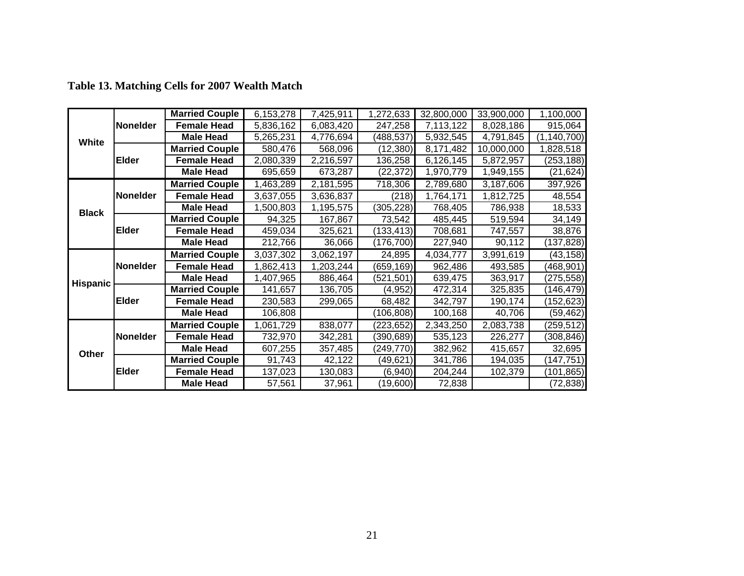|                 |                 | <b>Married Couple</b> | 6,153,278 | 7,425,911 | 1,272,633  | 32,800,000 | 33,900,000 | 1,100,000     |
|-----------------|-----------------|-----------------------|-----------|-----------|------------|------------|------------|---------------|
|                 | Nonelder        | <b>Female Head</b>    | 5,836,162 | 6,083,420 | 247,258    | 7,113,122  | 8,028,186  | 915,064       |
| White           |                 | <b>Male Head</b>      | 5,265,231 | 4,776,694 | (488,537)  | 5,932,545  | 4,791,845  | (1, 140, 700) |
|                 |                 | <b>Married Couple</b> | 580,476   | 568,096   | (12, 380)  | 8,171,482  | 10,000,000 | 1,828,518     |
|                 | <b>Elder</b>    | <b>Female Head</b>    | 2,080,339 | 2,216,597 | 136,258    | 6,126,145  | 5,872,957  | (253, 188)    |
|                 |                 | <b>Male Head</b>      | 695,659   | 673,287   | (22, 372)  | 1,970,779  | 1,949,155  | (21, 624)     |
|                 |                 | <b>Married Couple</b> | 1,463,289 | 2,181,595 | 718,306    | 2,789,680  | 3,187,606  | 397,926       |
|                 | <b>Nonelder</b> | <b>Female Head</b>    | 3,637,055 | 3,636,837 | (218)      | 1,764,171  | 1,812,725  | 48,554        |
| <b>Black</b>    |                 | <b>Male Head</b>      | 1,500,803 | 1,195,575 | (305, 228) | 768,405    | 786,938    | 18,533        |
|                 |                 | <b>Married Couple</b> | 94,325    | 167,867   | 73,542     | 485,445    | 519,594    | 34,149        |
|                 | <b>Elder</b>    | <b>Female Head</b>    | 459,034   | 325,621   | (133, 413) | 708,681    | 747,557    | 38,876        |
|                 |                 | <b>Male Head</b>      | 212,766   | 36,066    | (176,700)  | 227,940    | 90,112     | (137, 828)    |
|                 |                 | <b>Married Couple</b> | 3,037,302 | 3,062,197 | 24,895     | 4,034,777  | 3,991,619  | (43, 158)     |
|                 | <b>Nonelder</b> | <b>Female Head</b>    | 1,862,413 | 1,203,244 | (659, 169) | 962,486    | 493,585    | (468, 901)    |
| <b>Hispanic</b> |                 | <b>Male Head</b>      | 1,407,965 | 886,464   | (521, 501) | 639,475    | 363,917    | (275, 558)    |
|                 |                 | <b>Married Couple</b> | 141,657   | 136,705   | (4, 952)   | 472,314    | 325,835    | (146, 479)    |
|                 | <b>Elder</b>    | <b>Female Head</b>    | 230,583   | 299,065   | 68,482     | 342,797    | 190,174    | (152, 623)    |
|                 |                 | <b>Male Head</b>      | 106,808   |           | (106, 808) | 100,168    | 40,706     | (59, 462)     |
|                 |                 | <b>Married Couple</b> | 1,061,729 | 838,077   | (223, 652) | 2,343,250  | 2,083,738  | (259, 512)    |
|                 | <b>Nonelder</b> | <b>Female Head</b>    | 732,970   | 342,281   | (390, 689) | 535,123    | 226,277    | (308, 846)    |
| Other           |                 | <b>Male Head</b>      | 607,255   | 357,485   | (249, 770) | 382,962    | 415,657    | 32,695        |
|                 |                 | <b>Married Couple</b> | 91,743    | 42,122    | (49,621)   | 341,786    | 194,035    | (147, 751)    |
|                 | <b>Elder</b>    | <b>Female Head</b>    | 137,023   | 130,083   | (6,940)    | 204,244    | 102,379    | (101, 865)    |
|                 |                 | <b>Male Head</b>      | 57,561    | 37,961    | (19,600)   | 72,838     |            | (72,838)      |

**Table 13. Matching Cells for 2007 Wealth Match**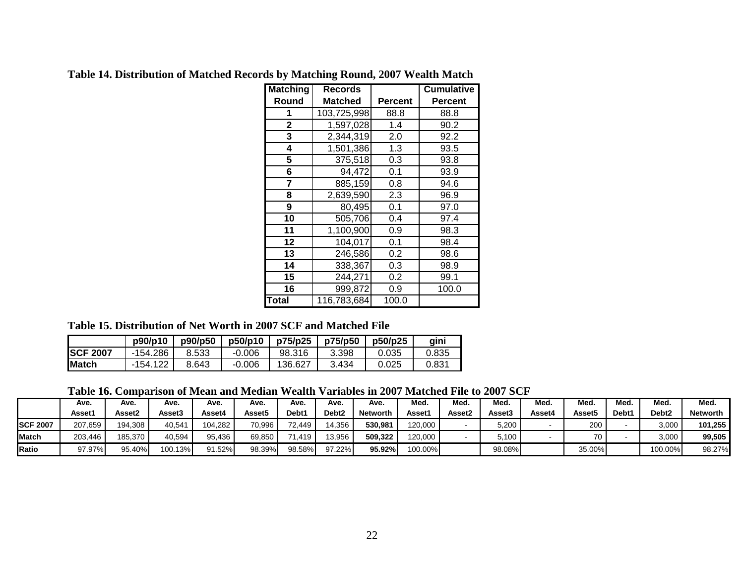| <b>Matching</b> | <b>Records</b> |         | <b>Cumulative</b> |
|-----------------|----------------|---------|-------------------|
| Round           | Matched        | Percent | <b>Percent</b>    |
| 1               | 103,725,998    | 88.8    | 88.8              |
| 2               | 1,597,028      | 1.4     | 90.2              |
| 3               | 2,344,319      | 2.0     | 92.2              |
| 4               | 1,501,386      | 1.3     | 93.5              |
| 5               | 375,518        | 0.3     | 93.8              |
| 6               | 94,472         | 0.1     | 93.9              |
| 7               | 885,159        | 0.8     | 94.6              |
| 8               | 2,639,590      | 2.3     | 96.9              |
| 9               | 80,495         | 0.1     | 97.0              |
| 10              | 505,706        | 0.4     | 97.4              |
| 11              | 1,100,900      | 0.9     | 98.3              |
| 12              | 104,017        | 0.1     | 98.4              |
| 13              | 246,586        | 0.2     | 98.6              |
| 14              | 338,367        | 0.3     | 98.9              |
| 15              | 244,271        | 0.2     | 99.1              |
| 16              | 999,872        | 0.9     | 100.0             |
| <b>Total</b>    | 116,783,684    | 100.0   |                   |

**Table 14. Distribution of Matched Records by Matching Round, 2007 Wealth Match** 

#### **Table 15. Distribution of Net Worth in 2007 SCF and Matched File**

|                  | p90/p10    | p90/p50 | p50/p10  | p75/p25 | p75/p50 | p50/p25 | aini  |
|------------------|------------|---------|----------|---------|---------|---------|-------|
| <b>ISCF 2007</b> | $-154.286$ | 8.533   | $-0.006$ | 98.316  | 3.398   | 0.035   | 0.835 |
| IMatch           | $-154.122$ | 8.643   | $-0.006$ | 136.627 | 3.434   | 0.025   | 0.831 |

| Table 16. Comparison of Mean and Median Wealth Variables in 2007 Matched File to 2007 SCF |  |  |  |  |  |
|-------------------------------------------------------------------------------------------|--|--|--|--|--|
|                                                                                           |  |  |  |  |  |

|                 | Ave.    | Ave.    | Ave.    | Ave.    | Ave.   | Ave.       | Ave.              | Ave.            | Med.    | Med.   | Med.   | Med.   | Med.   | Med.  | Med.              | Med.            |
|-----------------|---------|---------|---------|---------|--------|------------|-------------------|-----------------|---------|--------|--------|--------|--------|-------|-------------------|-----------------|
|                 | Asset1  | Asset2  | Asset3  | Asset4  | Asset5 | Debt1      | Debt <sub>2</sub> | <b>Networth</b> | Asset1  | Asset2 | Asset3 | Asset4 | Asset5 | Debt1 | Debt <sub>2</sub> | <b>Networth</b> |
| <b>SCF 2007</b> | 207.659 | 194.308 | 40,541  | 104.282 | 70,996 | 72.449     | 14,356            | 530.981         | 120.000 |        | 5.200  |        | 200    |       | 3,000             | 101.255         |
| <b>Match</b>    | 203.446 | 185.370 | 40,594  | 95.436  | 69.850 | $71.419$ i | 3.956             | 509.322         | 120,000 |        | 5.100  |        | 70.    |       | 3,000             | 99.505          |
| Ratio           | 97.97%  | 95.40%  | 100.13% | 91.52%  | 98.39% | 98.58%     | 97.22%            | 95.92%          | 100.00% |        | 98.08% |        | 35.00% |       | 100.00%           | 98.27%          |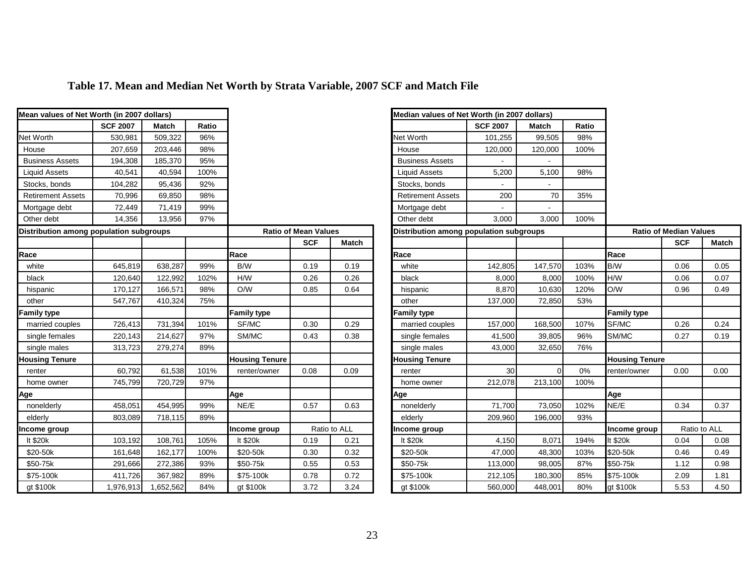| Mean values of Net Worth (in 2007 dollars) |                 |              |       |                       |                             |              | Median values of Net Worth (in 2007 dollars) |                 |              |       |                       |                               |              |  |  |  |
|--------------------------------------------|-----------------|--------------|-------|-----------------------|-----------------------------|--------------|----------------------------------------------|-----------------|--------------|-------|-----------------------|-------------------------------|--------------|--|--|--|
|                                            | <b>SCF 2007</b> | <b>Match</b> | Ratio |                       |                             |              |                                              | <b>SCF 2007</b> | <b>Match</b> | Ratio |                       |                               |              |  |  |  |
| Net Worth                                  | 530,981         | 509,322      | 96%   |                       |                             |              | Net Worth                                    | 101,255         | 99,505       | 98%   |                       |                               |              |  |  |  |
| House                                      | 207,659         | 203,446      | 98%   |                       |                             |              | House                                        | 120,000         | 120,000      | 100%  |                       |                               |              |  |  |  |
| <b>Business Assets</b>                     | 194,308         | 185,370      | 95%   |                       |                             |              | <b>Business Assets</b>                       |                 |              |       |                       |                               |              |  |  |  |
| <b>Liquid Assets</b>                       | 40,541          | 40,594       | 100%  |                       |                             |              | <b>Liquid Assets</b>                         | 5,200           | 5,100        | 98%   |                       |                               |              |  |  |  |
| Stocks, bonds                              | 104,282         | 95,436       | 92%   |                       |                             |              | Stocks, bonds                                |                 |              |       |                       |                               |              |  |  |  |
| <b>Retirement Assets</b>                   | 70,996          | 69,850       | 98%   |                       |                             |              | <b>Retirement Assets</b>                     | 200             | 70           | 35%   |                       |                               |              |  |  |  |
| Mortgage debt                              | 72,449          | 71,419       | 99%   |                       |                             |              | Mortgage debt                                |                 |              |       |                       |                               |              |  |  |  |
| Other debt                                 | 14,356          | 13,956       | 97%   |                       |                             |              | Other debt                                   | 3,000           | 3,000        | 100%  |                       |                               |              |  |  |  |
| Distribution among population subgroups    |                 |              |       |                       | <b>Ratio of Mean Values</b> |              | Distribution among population subgroups      |                 |              |       |                       | <b>Ratio of Median Values</b> |              |  |  |  |
|                                            |                 |              |       |                       | <b>SCF</b>                  | Match        |                                              |                 |              |       |                       | <b>SCF</b>                    | Match        |  |  |  |
| Race                                       |                 |              |       | Race                  |                             |              | Race                                         |                 |              |       | Race                  |                               |              |  |  |  |
| white                                      | 645,819         | 638,287      | 99%   | B/W                   | 0.19                        | 0.19         | white                                        | 142,805         | 147,570      | 103%  | B/W                   | 0.06                          | 0.05         |  |  |  |
| black                                      | 120,640         | 122,992      | 102%  | H/W                   | 0.26                        | 0.26         | black                                        | 8,000           | 8,000        | 100%  | H/W                   | 0.06                          | 0.07         |  |  |  |
| hispanic                                   | 170,127         | 166,571      | 98%   | O/W                   | 0.85                        | 0.64         | hispanic                                     | 8,870           | 10,630       | 120%  | O/W                   | 0.96                          | 0.49         |  |  |  |
| other                                      | 547,767         | 410,324      | 75%   |                       |                             |              | other                                        | 137,000         | 72,850       | 53%   |                       |                               |              |  |  |  |
| Family type                                |                 |              |       | Family type           |                             |              | Family type                                  |                 |              |       | <b>Family type</b>    |                               |              |  |  |  |
| married couples                            | 726,413         | 731,394      | 101%  | SF/MC                 | 0.30                        | 0.29         | married couples                              | 157,000         | 168,500      | 107%  | SF/MC                 | 0.26                          | 0.24         |  |  |  |
| single females                             | 220,143         | 214,627      | 97%   | SM/MC                 | 0.43                        | 0.38         | single females                               | 41,500          | 39,805       | 96%   | SM/MC                 | 0.27                          | 0.19         |  |  |  |
| single males                               | 313,723         | 279,274      | 89%   |                       |                             |              | single males                                 | 43,000          | 32,650       | 76%   |                       |                               |              |  |  |  |
| <b>Housing Tenure</b>                      |                 |              |       | <b>Housing Tenure</b> |                             |              | <b>Housing Tenure</b>                        |                 |              |       | <b>Housing Tenure</b> |                               |              |  |  |  |
| renter                                     | 60,792          | 61,538       | 101%  | renter/owner          | 0.08                        | 0.09         | renter                                       | 30 <sup>°</sup> | $\Omega$     | $0\%$ | renter/owner          | 0.00                          | 0.00         |  |  |  |
| home owner                                 | 745,799         | 720,729      | 97%   |                       |                             |              | home owner                                   | 212,078         | 213,100      | 100%  |                       |                               |              |  |  |  |
| Age                                        |                 |              |       | Age                   |                             |              | Age                                          |                 |              |       | Age                   |                               |              |  |  |  |
| nonelderly                                 | 458,051         | 454,995      | 99%   | NE/E                  | 0.57                        | 0.63         | nonelderly                                   | 71,700          | 73,050       | 102%  | NE/E                  | 0.34                          | 0.37         |  |  |  |
| elderly                                    | 803,089         | 718,115      | 89%   |                       |                             |              | elderly                                      | 209,960         | 196,000      | 93%   |                       |                               |              |  |  |  |
| ncome group                                |                 |              |       | Income group          |                             | Ratio to ALL | ncome group                                  |                 |              |       | Income group          |                               | Ratio to ALL |  |  |  |
| lt \$20k                                   | 103,192         | 108,761      | 105%  | It \$20k              | 0.19                        | 0.21         | It \$20k                                     | 4,150           | 8,071        | 194%  | It \$20k              | 0.04                          | 0.08         |  |  |  |
| \$20-50k                                   | 161,648         | 162,177      | 100%  | \$20-50k              | 0.30                        | 0.32         | \$20-50k                                     | 47,000          | 48,300       | 103%  | \$20-50k              | 0.46                          | 0.49         |  |  |  |
| \$50-75k                                   | 291,666         | 272,386      | 93%   | \$50-75k              | 0.55                        | 0.53         | \$50-75k                                     | 113,000         | 98,005       | 87%   | \$50-75k              | 1.12                          | 0.98         |  |  |  |
| \$75-100k                                  | 411,726         | 367,982      | 89%   | \$75-100k             | 0.78                        | 0.72         | \$75-100k                                    | 212,105         | 180,300      | 85%   | \$75-100k             | 2.09                          | 1.81         |  |  |  |
| gt \$100k                                  | 1,976,913       | 1,652,562    | 84%   | gt \$100k             | 3.72                        | 3.24         | gt \$100k                                    | 560,000         | 448,001      | 80%   | gt \$100k             | 5.53                          | 4.50         |  |  |  |
|                                            |                 |              |       |                       |                             |              |                                              |                 |              |       |                       |                               |              |  |  |  |

┓

# **Table 17. Mean and Median Net Worth by Strata Variable, 2007 SCF and Match File**

┓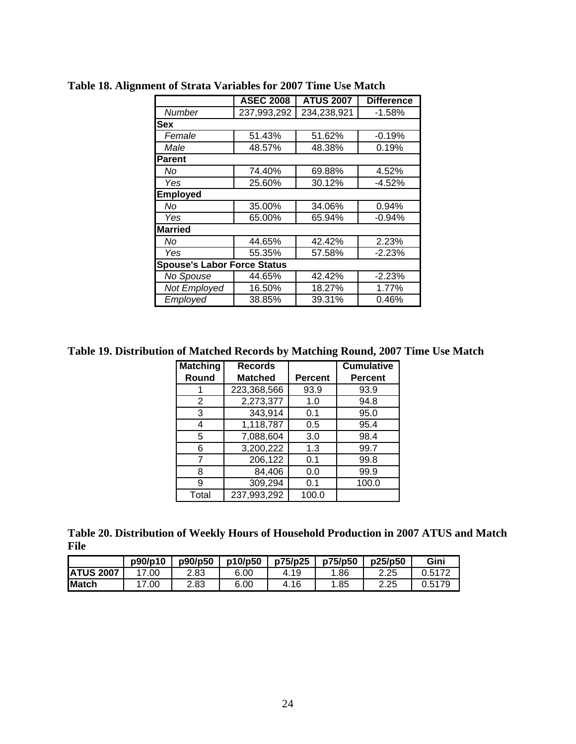|                                    | <b>ASEC 2008</b> | <b>ATUS 2007</b> | <b>Difference</b> |
|------------------------------------|------------------|------------------|-------------------|
| <b>Number</b>                      | 237,993,292      | 234,238,921      | $-1.58%$          |
| <b>Sex</b>                         |                  |                  |                   |
| Female                             | 51.43%           | 51.62%           | $-0.19%$          |
| Male                               | 48.57%           | 48.38%           | 0.19%             |
| <b>Parent</b>                      |                  |                  |                   |
| No                                 | 74.40%           | 69.88%           | 4.52%             |
| Yes                                | 25.60%           | 30.12%           | $-4.52%$          |
| Employed                           |                  |                  |                   |
| No                                 | 35.00%           | 34.06%           | 0.94%             |
| Yes                                | 65.00%           | 65.94%           | -0.94%            |
| <b>Married</b>                     |                  |                  |                   |
| No                                 | 44.65%           | 42.42%           | 2.23%             |
| Yes                                | 55.35%           | 57.58%           | $-2.23%$          |
| <b>Spouse's Labor Force Status</b> |                  |                  |                   |
| No Spouse                          | 44.65%           | 42.42%           | $-2.23%$          |
| Not Employed                       | 16.50%           | 18.27%           | 1.77%             |
| Employed                           | 38.85%           | 39.31%           | 0.46%             |

**Table 18. Alignment of Strata Variables for 2007 Time Use Match** 

**Table 19. Distribution of Matched Records by Matching Round, 2007 Time Use Match** 

| <b>Matching</b> | <b>Records</b> |                | <b>Cumulative</b> |
|-----------------|----------------|----------------|-------------------|
| Round           | <b>Matched</b> | <b>Percent</b> | <b>Percent</b>    |
|                 | 223,368,566    | 93.9           | 93.9              |
| 2               | 2,273,377      | 1.0            | 94.8              |
| 3               | 343,914        | 0.1            | 95.0              |
| 4               | 1,118,787      | 0.5            | 95.4              |
| 5               | 7,088,604      | 3.0            | 98.4              |
| 6               | 3,200,222      | 1.3            | 99.7              |
|                 | 206,122        | 0.1            | 99.8              |
| 8               | 84,406         | 0.0            | 99.9              |
| 9               | 309,294        | 0.1            | 100.0             |
| Total           | 237,993,292    | 100.0          |                   |

|             |  | Table 20. Distribution of Weekly Hours of Household Production in 2007 ATUS and Match |  |  |
|-------------|--|---------------------------------------------------------------------------------------|--|--|
| <b>File</b> |  |                                                                                       |  |  |

|                  | p90/p10     | p90/p50 | p10/p50 | p75/p25 | p75/p50 | p25/p50 | Gini   |
|------------------|-------------|---------|---------|---------|---------|---------|--------|
| <b>ATUS 2007</b> | .00         | 2.83    | 6.00    | 4.19    | .86     | 2.25    | 0.5172 |
| Match            | $\cdot$ .00 | 2.83    | 6.00    | 4.16    | .85     | 2.25    | 0.5179 |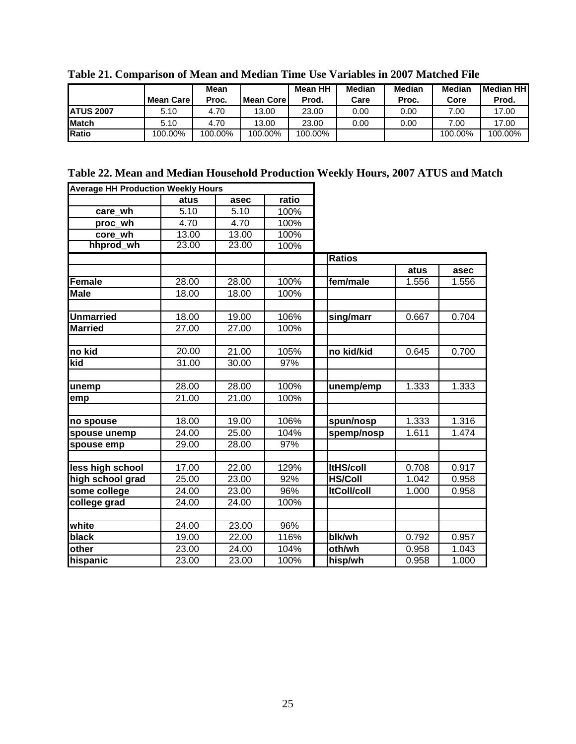|                  |           | Mean    |               | Mean HH | <b>Median</b> | Median | Median  | <b>IMedian HHI</b> |
|------------------|-----------|---------|---------------|---------|---------------|--------|---------|--------------------|
|                  | Mean Care | Proc.   | l Mean Core I | Prod.   | Care          | Proc.  | Core    | Prod.              |
| <b>ATUS 2007</b> | 5.10      | 4.70    | 13.00         | 23.00   | 0.00          | 0.00   | 7.00    | 17.00              |
| <b>IMatch</b>    | 5.10      | 4.70    | 13.00         | 23.00   | 0.00          | 0.00   | 7.00    | 17.00              |
| <b>IRatio</b>    | 100.00%   | 100.00% | 100.00%       | 100.00% |               |        | 100.00% | 100.00%            |

**Table 21. Comparison of Mean and Median Time Use Variables in 2007 Matched File** 

| Table 22. Mean and Median Household Production Weekly Hours, 2007 ATUS and Match |  |
|----------------------------------------------------------------------------------|--|
|----------------------------------------------------------------------------------|--|

| <b>Average HH Production Weekly Hours</b> |       |       |       |                    |       |       |
|-------------------------------------------|-------|-------|-------|--------------------|-------|-------|
|                                           | atus  | asec  | ratio |                    |       |       |
| care_wh                                   | 5.10  | 5.10  | 100%  |                    |       |       |
| proc wh                                   | 4.70  | 4.70  | 100%  |                    |       |       |
| core wh                                   | 13.00 | 13.00 | 100%  |                    |       |       |
| hhprod wh                                 | 23.00 | 23.00 | 100%  |                    |       |       |
|                                           |       |       |       | <b>Ratios</b>      |       |       |
|                                           |       |       |       |                    | atus  | asec  |
| Female                                    | 28.00 | 28.00 | 100%  | fem/male           | 1.556 | 1.556 |
| <b>Male</b>                               | 18.00 | 18.00 | 100%  |                    |       |       |
|                                           |       |       |       |                    |       |       |
| <b>Unmarried</b>                          | 18.00 | 19.00 | 106%  | sing/marr          | 0.667 | 0.704 |
| <b>Married</b>                            | 27.00 | 27.00 | 100%  |                    |       |       |
|                                           |       |       |       |                    |       |       |
| no kid                                    | 20.00 | 21.00 | 105%  | no kid/kid         | 0.645 | 0.700 |
| kid                                       | 31.00 | 30.00 | 97%   |                    |       |       |
|                                           |       |       |       |                    |       |       |
| unemp                                     | 28.00 | 28.00 | 100%  | unemp/emp          | 1.333 | 1.333 |
| emp                                       | 21.00 | 21.00 | 100%  |                    |       |       |
|                                           |       |       |       |                    |       |       |
| no spouse                                 | 18.00 | 19.00 | 106%  | spun/nosp          | 1.333 | 1.316 |
| spouse unemp                              | 24.00 | 25.00 | 104%  | spemp/nosp         | 1.611 | 1.474 |
| spouse emp                                | 29.00 | 28.00 | 97%   |                    |       |       |
|                                           |       |       |       |                    |       |       |
| less high school                          | 17.00 | 22.00 | 129%  | <b>ItHS/coll</b>   | 0.708 | 0.917 |
| high school grad                          | 25.00 | 23.00 | 92%   | <b>HS/Coll</b>     | 1.042 | 0.958 |
| some college                              | 24.00 | 23.00 | 96%   | <b>ItColl/coll</b> | 1.000 | 0.958 |
| college grad                              | 24.00 | 24.00 | 100%  |                    |       |       |
|                                           |       |       |       |                    |       |       |
| white                                     | 24.00 | 23.00 | 96%   |                    |       |       |
| black                                     | 19.00 | 22.00 | 116%  | blk/wh             | 0.792 | 0.957 |
| other                                     | 23.00 | 24.00 | 104%  | oth/wh             | 0.958 | 1.043 |
| hispanic                                  | 23.00 | 23.00 | 100%  | hisp/wh            | 0.958 | 1.000 |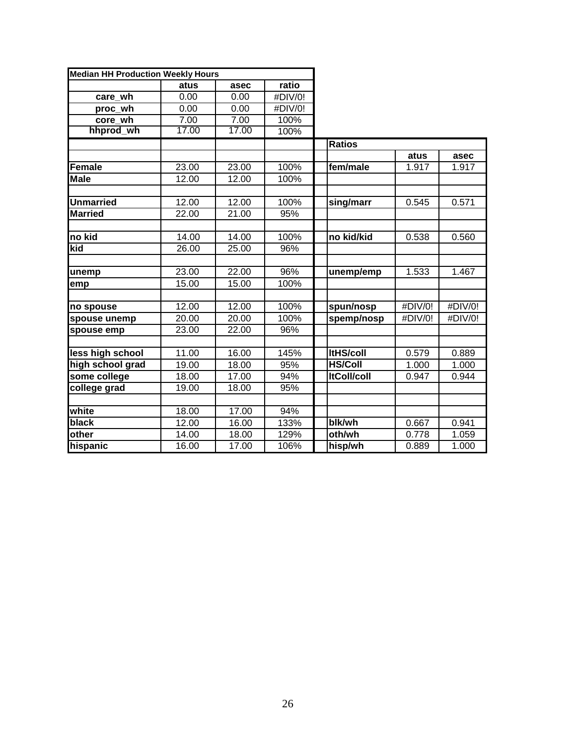| <b>Median HH Production Weekly Hours</b> |       |       |         |                    |         |         |
|------------------------------------------|-------|-------|---------|--------------------|---------|---------|
|                                          | atus  | asec  | ratio   |                    |         |         |
| care wh                                  | 0.00  | 0.00  | #DIV/0! |                    |         |         |
| proc wh                                  | 0.00  | 0.00  | #DIV/0! |                    |         |         |
| core wh                                  | 7.00  | 7.00  | 100%    |                    |         |         |
| hhprod wh                                | 17.00 | 17.00 | 100%    |                    |         |         |
|                                          |       |       |         | <b>Ratios</b>      |         |         |
|                                          |       |       |         |                    | atus    | asec    |
| Female                                   | 23.00 | 23.00 | 100%    | fem/male           | 1.917   | 1.917   |
| <b>Male</b>                              | 12.00 | 12.00 | 100%    |                    |         |         |
|                                          |       |       |         |                    |         |         |
| <b>Unmarried</b>                         | 12.00 | 12.00 | 100%    | sing/marr          | 0.545   | 0.571   |
| <b>Married</b>                           | 22.00 | 21.00 | 95%     |                    |         |         |
|                                          |       |       |         |                    |         |         |
| no kid                                   | 14.00 | 14.00 | 100%    | no kid/kid         | 0.538   | 0.560   |
| kid                                      | 26.00 | 25.00 | 96%     |                    |         |         |
|                                          |       |       |         |                    |         |         |
| unemp                                    | 23.00 | 22.00 | 96%     | unemp/emp          | 1.533   | 1.467   |
| emp                                      | 15.00 | 15.00 | 100%    |                    |         |         |
|                                          |       |       |         |                    |         |         |
| no spouse                                | 12.00 | 12.00 | 100%    | spun/nosp          | #DIV/0! | #DIV/0! |
| spouse unemp                             | 20.00 | 20.00 | 100%    | spemp/nosp         | #DIV/0! | #DIV/0! |
| spouse emp                               | 23.00 | 22.00 | 96%     |                    |         |         |
|                                          |       |       |         |                    |         |         |
| less high school                         | 11.00 | 16.00 | 145%    | <b>ItHS/coll</b>   | 0.579   | 0.889   |
| high school grad                         | 19.00 | 18.00 | 95%     | <b>HS/Coll</b>     | 1.000   | 1.000   |
| some college                             | 18.00 | 17.00 | 94%     | <b>ItColl/coll</b> | 0.947   | 0.944   |
| college grad                             | 19.00 | 18.00 | 95%     |                    |         |         |
|                                          |       |       |         |                    |         |         |
| white                                    | 18.00 | 17.00 | 94%     |                    |         |         |
| black                                    | 12.00 | 16.00 | 133%    | blk/wh             | 0.667   | 0.941   |
| other                                    | 14.00 | 18.00 | 129%    | oth/wh             | 0.778   | 1.059   |
| hispanic                                 | 16.00 | 17.00 | 106%    | hisp/wh            | 0.889   | 1.000   |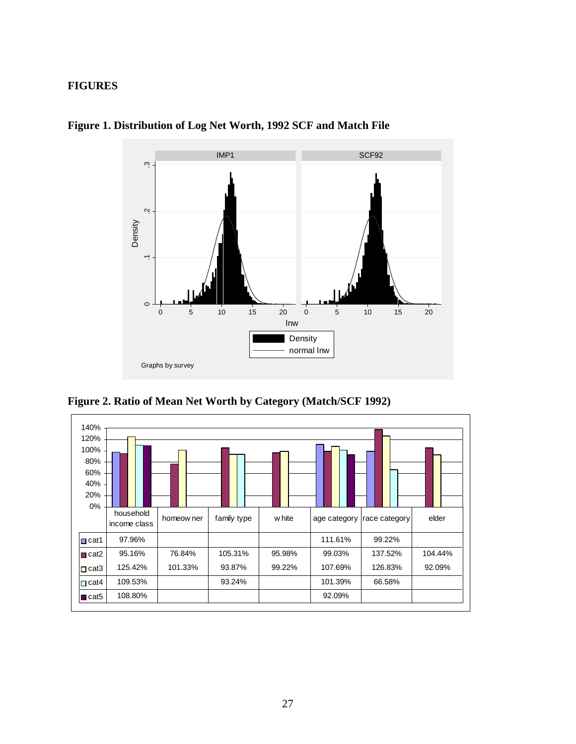## **FIGURES**



**Figure 1. Distribution of Log Net Worth, 1992 SCF and Match File** 

**Figure 2. Ratio of Mean Net Worth by Category (Match/SCF 1992)** 

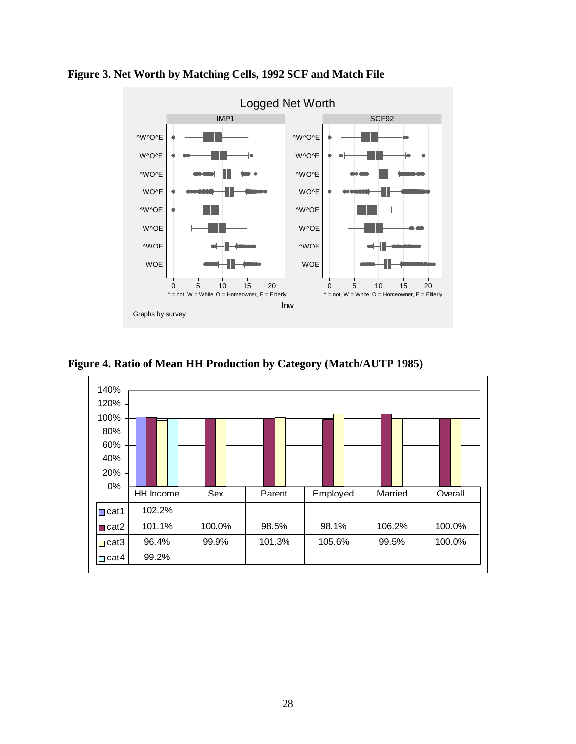

**Figure 3. Net Worth by Matching Cells, 1992 SCF and Match File** 

**Figure 4. Ratio of Mean HH Production by Category (Match/AUTP 1985)** 

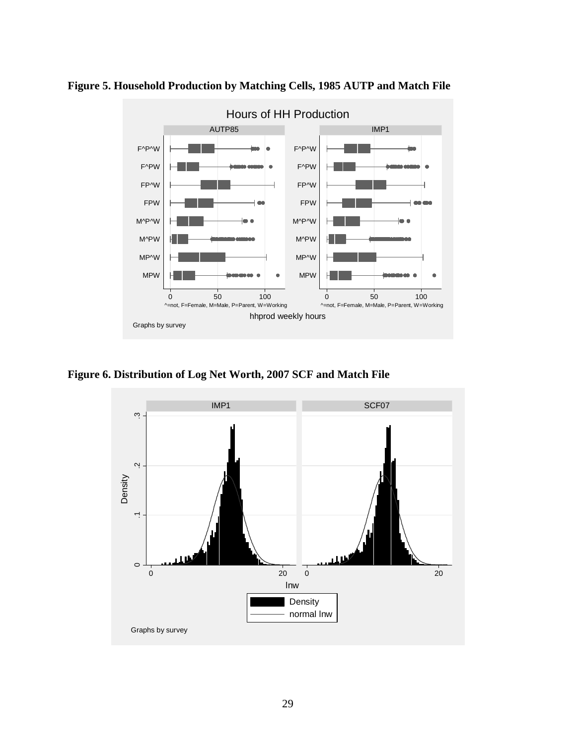

**Figure 5. Household Production by Matching Cells, 1985 AUTP and Match File** 

**Figure 6. Distribution of Log Net Worth, 2007 SCF and Match File** 

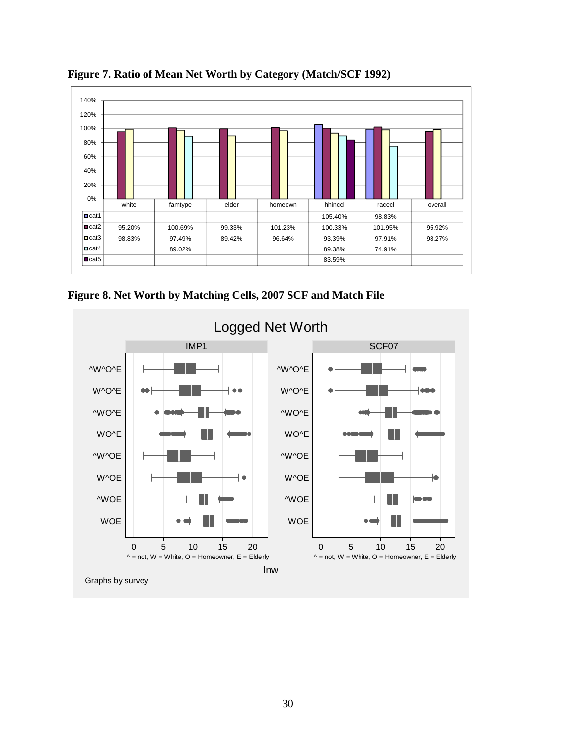

**Figure 7. Ratio of Mean Net Worth by Category (Match/SCF 1992)** 

**Figure 8. Net Worth by Matching Cells, 2007 SCF and Match File**